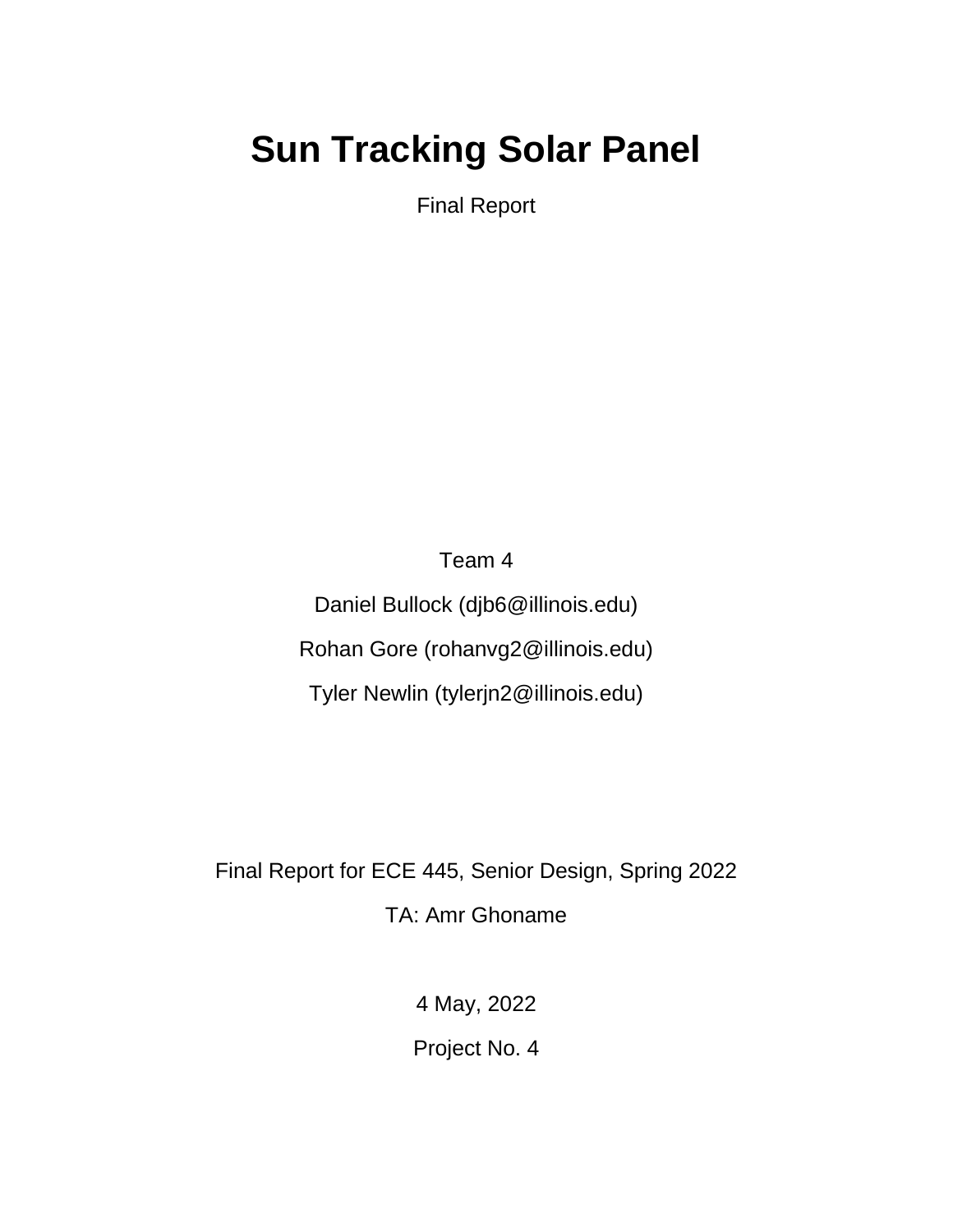# **Sun Tracking Solar Panel**

Final Report

Team 4 Daniel Bullock (djb6@illinois.edu) Rohan Gore (rohanvg2@illinois.edu) Tyler Newlin (tylerjn2@illinois.edu)

Final Report for ECE 445, Senior Design, Spring 2022 TA: Amr Ghoname

4 May, 2022

Project No. 4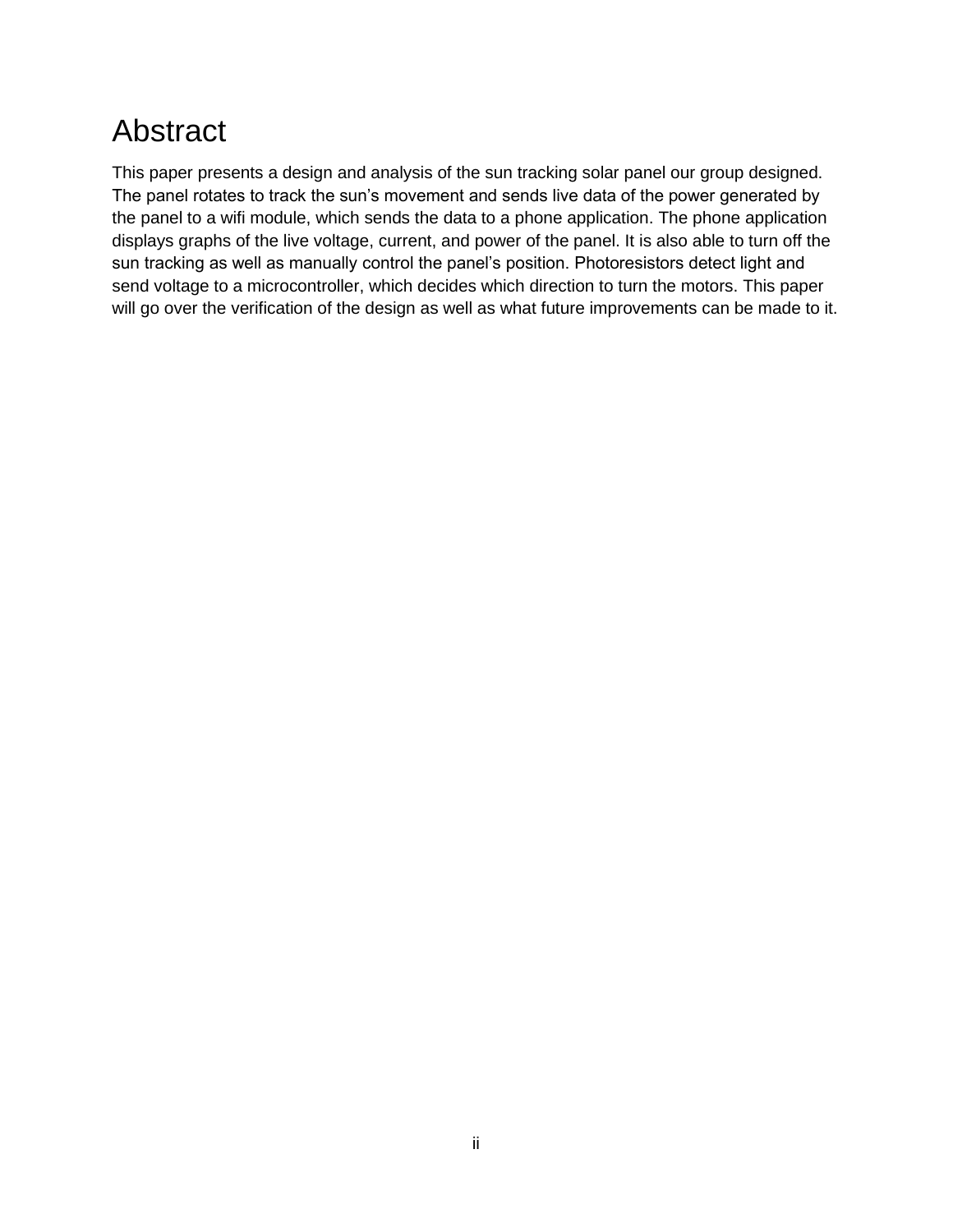# Abstract

This paper presents a design and analysis of the sun tracking solar panel our group designed. The panel rotates to track the sun's movement and sends live data of the power generated by the panel to a wifi module, which sends the data to a phone application. The phone application displays graphs of the live voltage, current, and power of the panel. It is also able to turn off the sun tracking as well as manually control the panel's position. Photoresistors detect light and send voltage to a microcontroller, which decides which direction to turn the motors. This paper will go over the verification of the design as well as what future improvements can be made to it.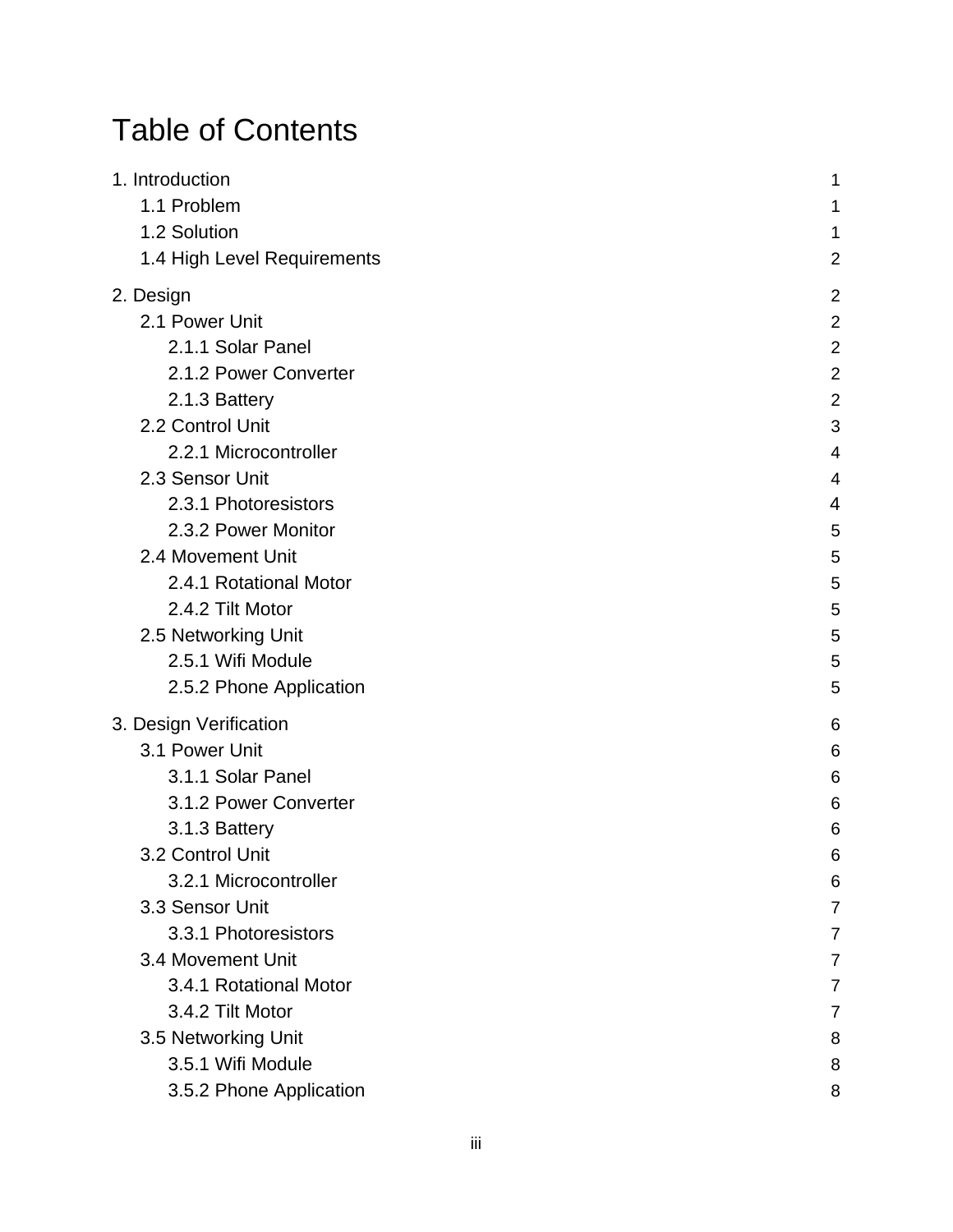# Table of Contents

| 1. Introduction             | 1              |
|-----------------------------|----------------|
| 1.1 Problem                 | 1              |
| 1.2 Solution                | 1              |
| 1.4 High Level Requirements | $\overline{c}$ |
| 2. Design                   | $\overline{c}$ |
| 2.1 Power Unit              | $\overline{a}$ |
| 2.1.1 Solar Panel           | $\overline{a}$ |
| 2.1.2 Power Converter       | $\overline{2}$ |
| 2.1.3 Battery               | $\overline{c}$ |
| 2.2 Control Unit            | 3              |
| 2.2.1 Microcontroller       | 4              |
| 2.3 Sensor Unit             | 4              |
| 2.3.1 Photoresistors        | 4              |
| 2.3.2 Power Monitor         | 5              |
| 2.4 Movement Unit           | 5              |
| 2.4.1 Rotational Motor      | 5              |
| 2.4.2 Tilt Motor            | 5              |
| 2.5 Networking Unit         | 5              |
| 2.5.1 Wifi Module           | 5              |
| 2.5.2 Phone Application     | 5              |
| 3. Design Verification      | 6              |
| 3.1 Power Unit              | 6              |
| 3.1.1 Solar Panel           | 6              |
| 3.1.2 Power Converter       | 6              |
| 3.1.3 Battery               | 6              |
| 3.2 Control Unit            | 6              |
| 3.2.1 Microcontroller       | 6              |
| 3.3 Sensor Unit             | 7              |
| 3.3.1 Photoresistors        | 7              |
| 3.4 Movement Unit           |                |
| 3.4.1 Rotational Motor      |                |
| 3.4.2 Tilt Motor            | 7              |
| 3.5 Networking Unit         | 8              |
| 3.5.1 Wifi Module           | 8              |
| 3.5.2 Phone Application     | 8              |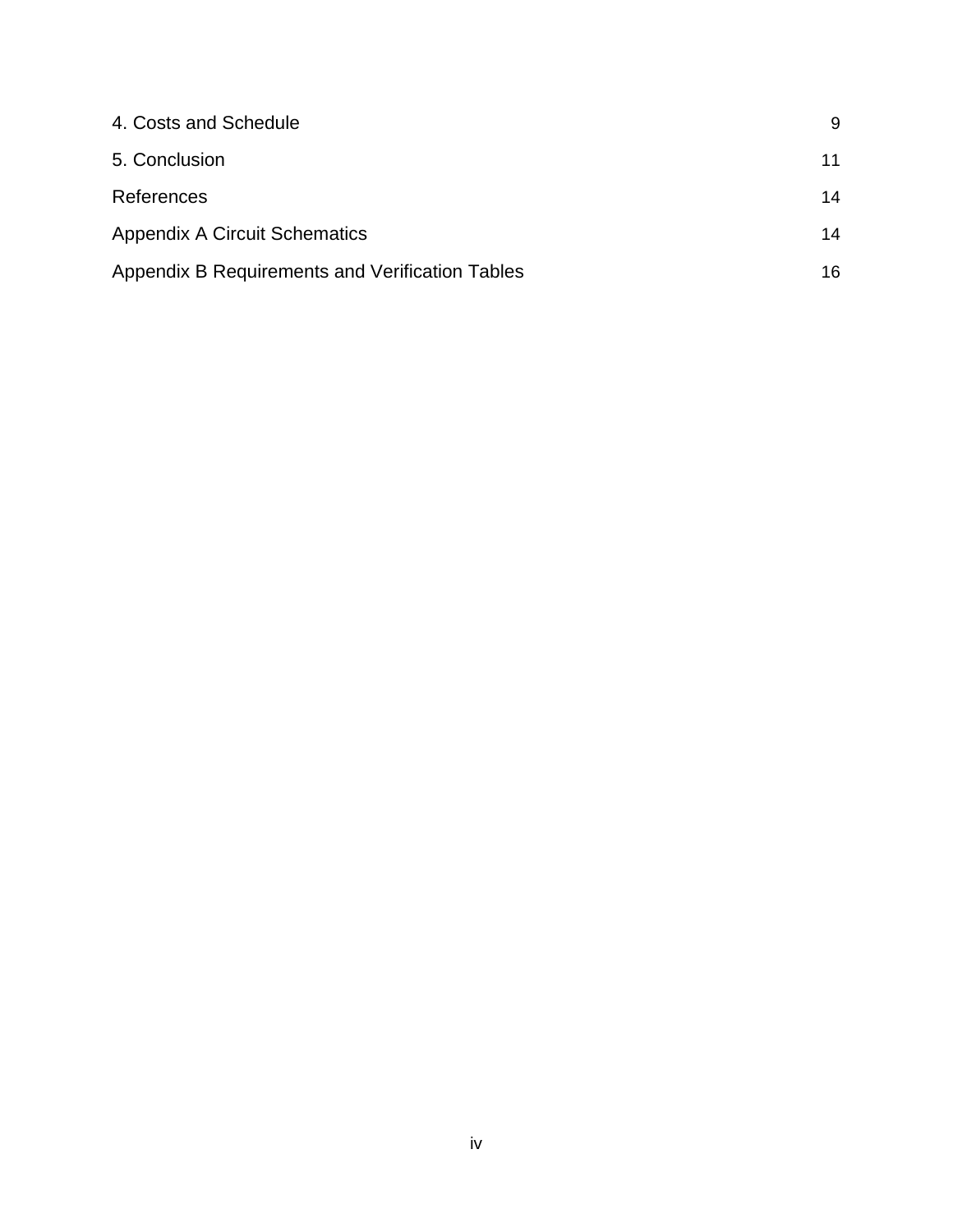| 4. Costs and Schedule                           | 9  |
|-------------------------------------------------|----|
| 5. Conclusion                                   | 11 |
| References                                      | 14 |
| <b>Appendix A Circuit Schematics</b>            | 14 |
| Appendix B Requirements and Verification Tables | 16 |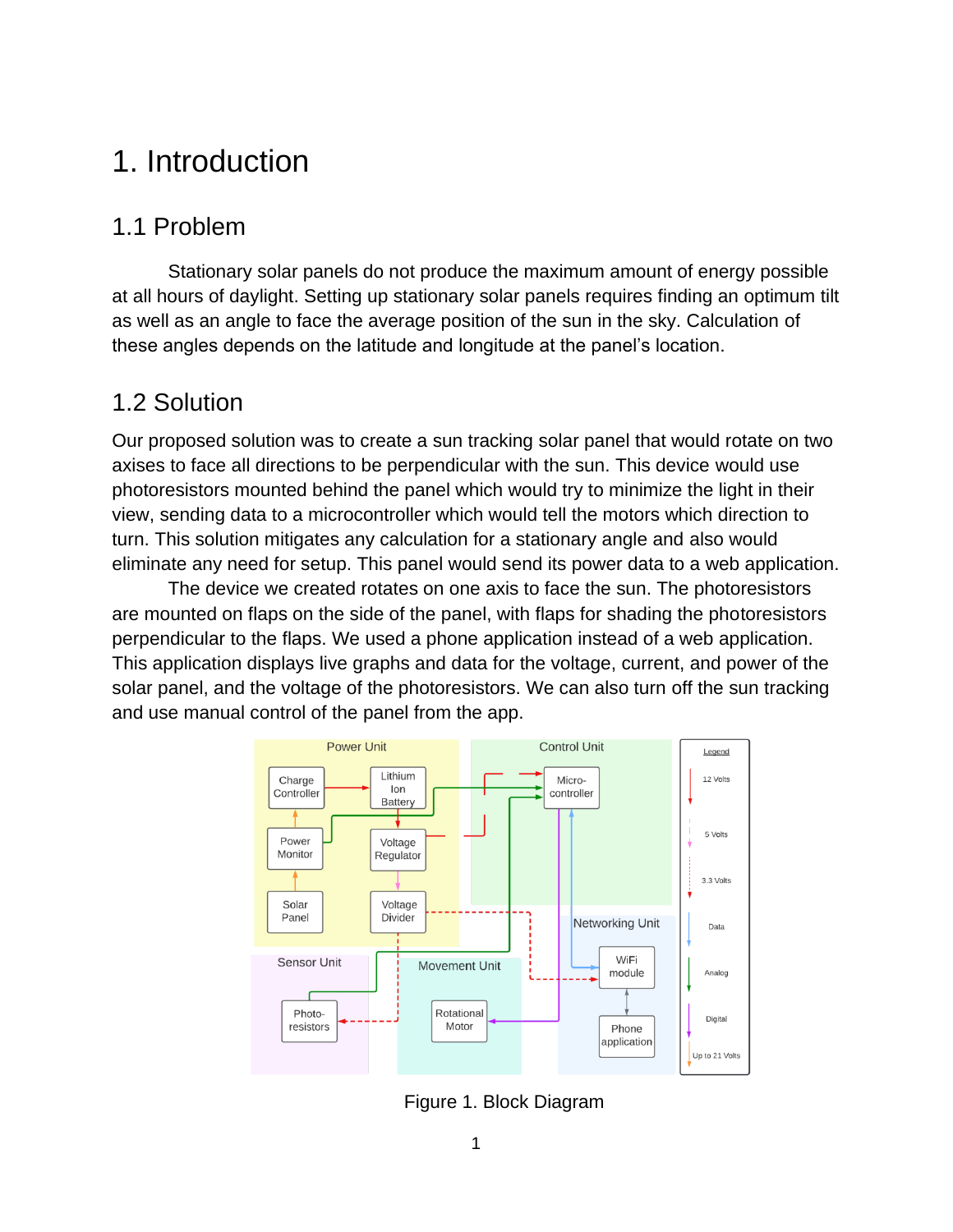# <span id="page-4-0"></span>1. Introduction

### <span id="page-4-1"></span>1.1 Problem

Stationary solar panels do not produce the maximum amount of energy possible at all hours of daylight. Setting up stationary solar panels requires finding an optimum tilt as well as an angle to face the average position of the sun in the sky. Calculation of these angles depends on the latitude and longitude at the panel's location.

### <span id="page-4-2"></span>1.2 Solution

Our proposed solution was to create a sun tracking solar panel that would rotate on two axises to face all directions to be perpendicular with the sun. This device would use photoresistors mounted behind the panel which would try to minimize the light in their view, sending data to a microcontroller which would tell the motors which direction to turn. This solution mitigates any calculation for a stationary angle and also would eliminate any need for setup. This panel would send its power data to a web application.

The device we created rotates on one axis to face the sun. The photoresistors are mounted on flaps on the side of the panel, with flaps for shading the photoresistors perpendicular to the flaps. We used a phone application instead of a web application. This application displays live graphs and data for the voltage, current, and power of the solar panel, and the voltage of the photoresistors. We can also turn off the sun tracking and use manual control of the panel from the app.



Figure 1. Block Diagram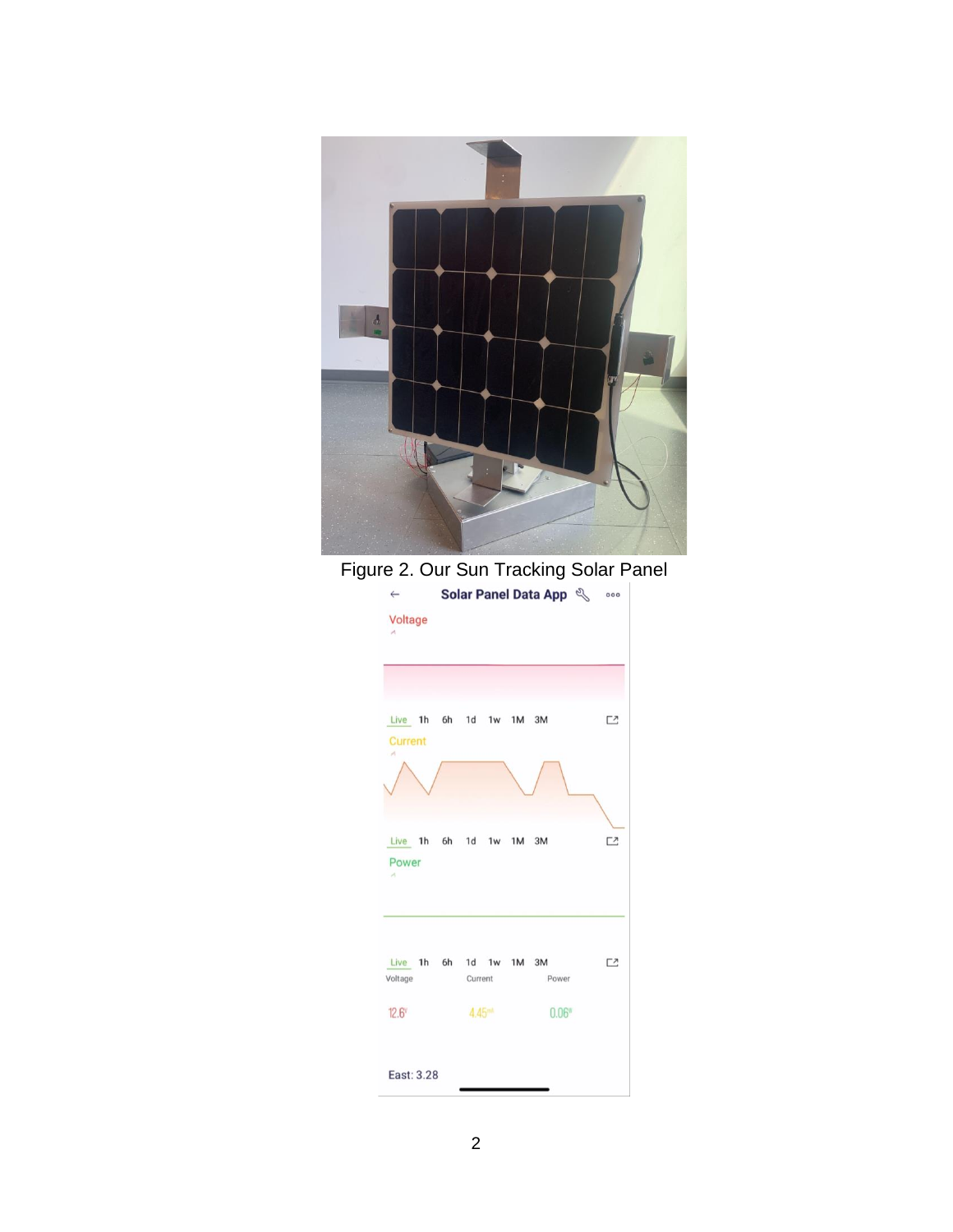

Figure 2. Our Sun Tracking Solar Panel

| $\leftarrow$             | Solar Panel Data App &                     |          |
|--------------------------|--------------------------------------------|----------|
| Voltage<br>$\mathcal{M}$ |                                            |          |
|                          |                                            |          |
| Current                  | Live 1h 6h 1d 1w 1M 3M                     | <b>C</b> |
| ×                        |                                            |          |
| Power<br>×               | Live 1h 6h 1d 1w 1M 3M                     | <b>Z</b> |
| Voltage                  | Live 1h 6h 1d 1w 1M 3M<br>Current<br>Power | ロ        |
| $12.6^\mathrm{v}$        | 4.45 <sup>mt</sup><br>$0.06$ <sup>w</sup>  |          |
| East: 3.28               |                                            |          |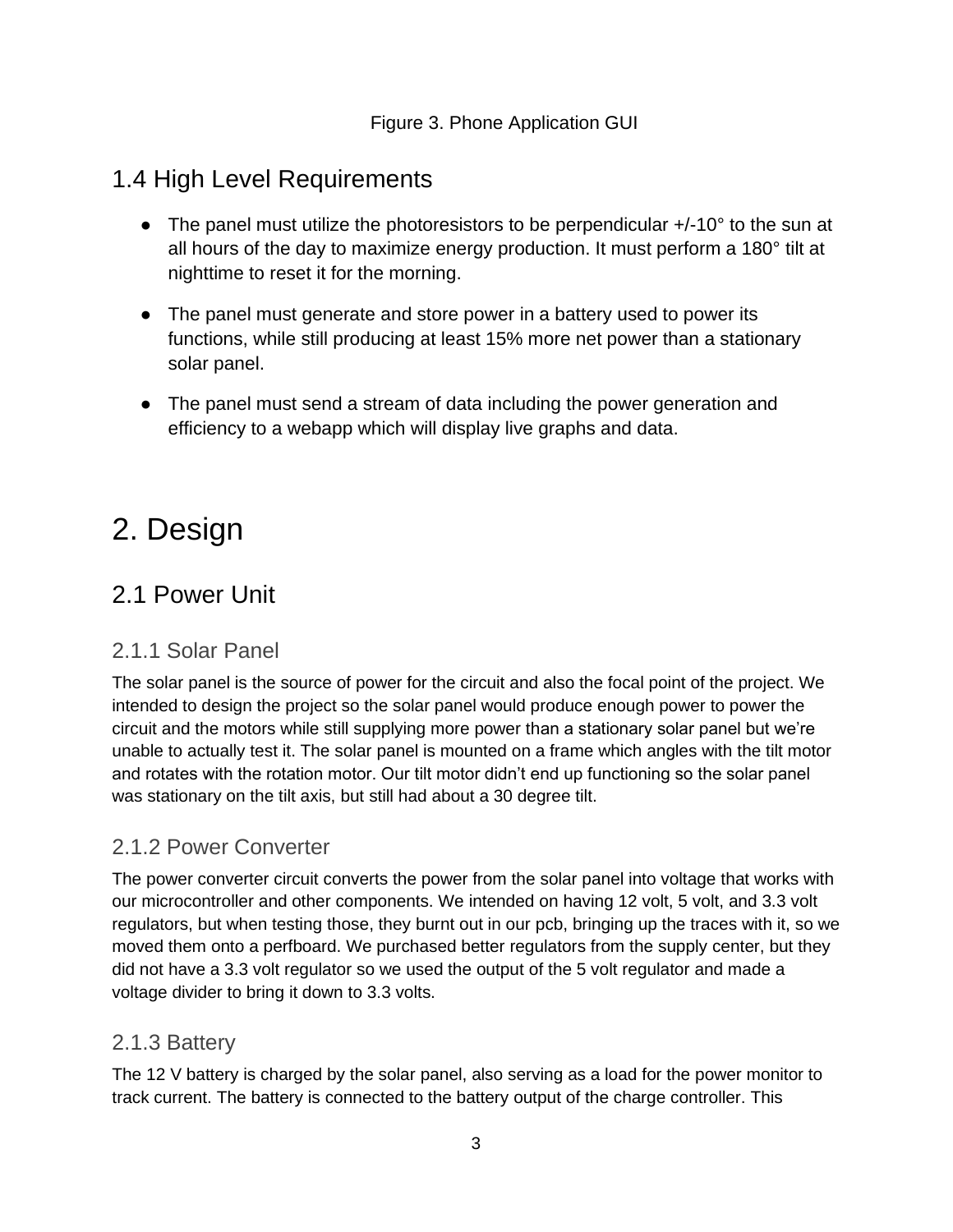### <span id="page-6-0"></span>1.4 High Level Requirements

- The panel must utilize the photoresistors to be perpendicular  $+/-10^{\circ}$  to the sun at all hours of the day to maximize energy production. It must perform a 180° tilt at nighttime to reset it for the morning.
- The panel must generate and store power in a battery used to power its functions, while still producing at least 15% more net power than a stationary solar panel.
- The panel must send a stream of data including the power generation and efficiency to a webapp which will display live graphs and data.

# <span id="page-6-1"></span>2. Design

## <span id="page-6-2"></span>2.1 Power Unit

#### <span id="page-6-3"></span>2.1.1 Solar Panel

The solar panel is the source of power for the circuit and also the focal point of the project. We intended to design the project so the solar panel would produce enough power to power the circuit and the motors while still supplying more power than a stationary solar panel but we're unable to actually test it. The solar panel is mounted on a frame which angles with the tilt motor and rotates with the rotation motor. Our tilt motor didn't end up functioning so the solar panel was stationary on the tilt axis, but still had about a 30 degree tilt.

#### <span id="page-6-4"></span>2.1.2 Power Converter

The power converter circuit converts the power from the solar panel into voltage that works with our microcontroller and other components. We intended on having 12 volt, 5 volt, and 3.3 volt regulators, but when testing those, they burnt out in our pcb, bringing up the traces with it, so we moved them onto a perfboard. We purchased better regulators from the supply center, but they did not have a 3.3 volt regulator so we used the output of the 5 volt regulator and made a voltage divider to bring it down to 3.3 volts.

#### <span id="page-6-5"></span>2.1.3 Battery

The 12 V battery is charged by the solar panel, also serving as a load for the power monitor to track current. The battery is connected to the battery output of the charge controller. This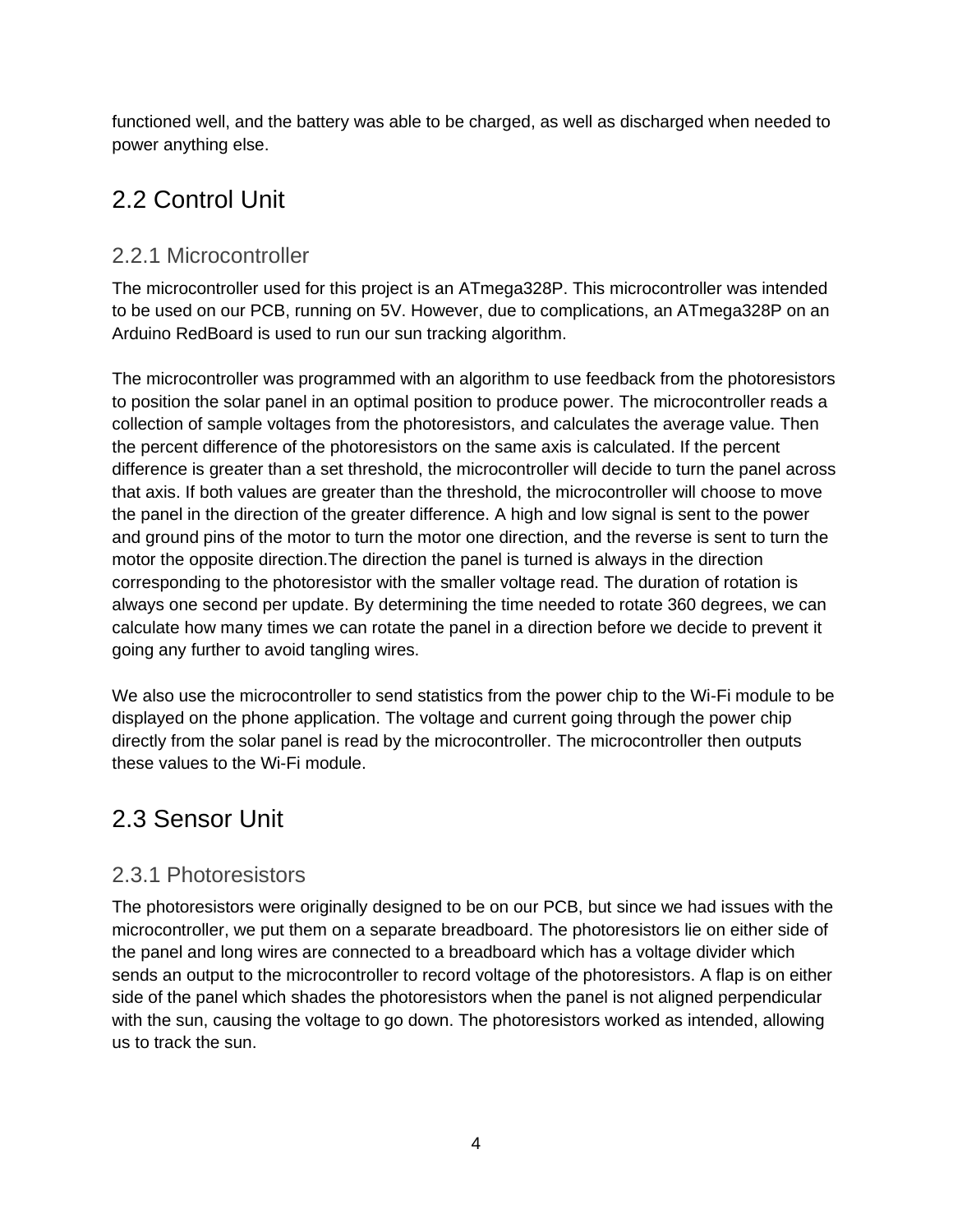functioned well, and the battery was able to be charged, as well as discharged when needed to power anything else.

## 2.2 Control Unit

#### <span id="page-7-0"></span>2.2.1 Microcontroller

The microcontroller used for this project is an ATmega328P. This microcontroller was intended to be used on our PCB, running on 5V. However, due to complications, an ATmega328P on an Arduino RedBoard is used to run our sun tracking algorithm.

The microcontroller was programmed with an algorithm to use feedback from the photoresistors to position the solar panel in an optimal position to produce power. The microcontroller reads a collection of sample voltages from the photoresistors, and calculates the average value. Then the percent difference of the photoresistors on the same axis is calculated. If the percent difference is greater than a set threshold, the microcontroller will decide to turn the panel across that axis. If both values are greater than the threshold, the microcontroller will choose to move the panel in the direction of the greater difference. A high and low signal is sent to the power and ground pins of the motor to turn the motor one direction, and the reverse is sent to turn the motor the opposite direction.The direction the panel is turned is always in the direction corresponding to the photoresistor with the smaller voltage read. The duration of rotation is always one second per update. By determining the time needed to rotate 360 degrees, we can calculate how many times we can rotate the panel in a direction before we decide to prevent it going any further to avoid tangling wires.

We also use the microcontroller to send statistics from the power chip to the Wi-Fi module to be displayed on the phone application. The voltage and current going through the power chip directly from the solar panel is read by the microcontroller. The microcontroller then outputs these values to the Wi-Fi module.

## <span id="page-7-1"></span>2.3 Sensor Unit

#### <span id="page-7-2"></span>2.3.1 Photoresistors

The photoresistors were originally designed to be on our PCB, but since we had issues with the microcontroller, we put them on a separate breadboard. The photoresistors lie on either side of the panel and long wires are connected to a breadboard which has a voltage divider which sends an output to the microcontroller to record voltage of the photoresistors. A flap is on either side of the panel which shades the photoresistors when the panel is not aligned perpendicular with the sun, causing the voltage to go down. The photoresistors worked as intended, allowing us to track the sun.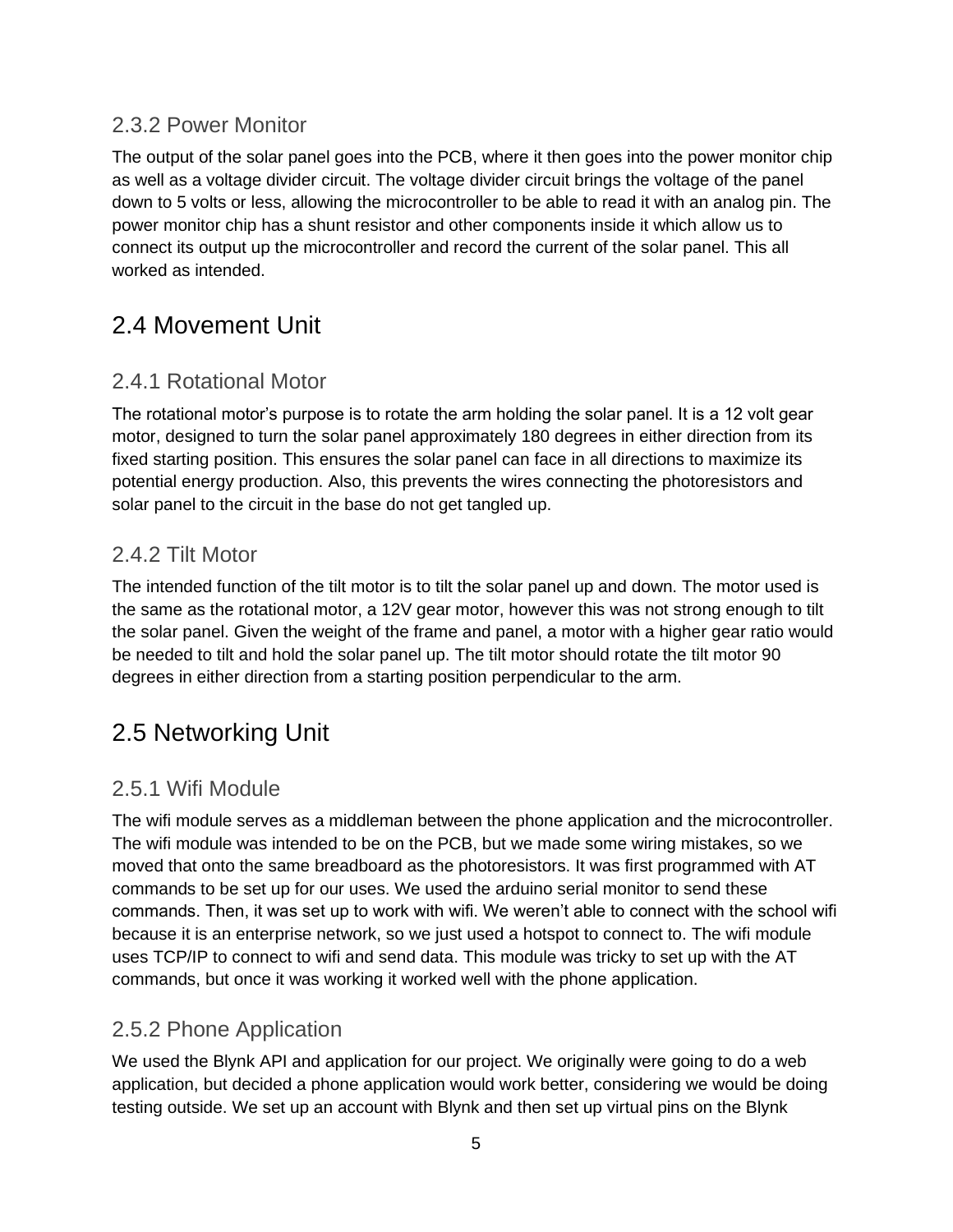#### 2.3.2 Power Monitor

The output of the solar panel goes into the PCB, where it then goes into the power monitor chip as well as a voltage divider circuit. The voltage divider circuit brings the voltage of the panel down to 5 volts or less, allowing the microcontroller to be able to read it with an analog pin. The power monitor chip has a shunt resistor and other components inside it which allow us to connect its output up the microcontroller and record the current of the solar panel. This all worked as intended.

## <span id="page-8-0"></span>2.4 Movement Unit

#### <span id="page-8-1"></span>2.4.1 Rotational Motor

The rotational motor's purpose is to rotate the arm holding the solar panel. It is a 12 volt gear motor, designed to turn the solar panel approximately 180 degrees in either direction from its fixed starting position. This ensures the solar panel can face in all directions to maximize its potential energy production. Also, this prevents the wires connecting the photoresistors and solar panel to the circuit in the base do not get tangled up.

#### <span id="page-8-2"></span>2.4.2 Tilt Motor

The intended function of the tilt motor is to tilt the solar panel up and down. The motor used is the same as the rotational motor, a 12V gear motor, however this was not strong enough to tilt the solar panel. Given the weight of the frame and panel, a motor with a higher gear ratio would be needed to tilt and hold the solar panel up. The tilt motor should rotate the tilt motor 90 degrees in either direction from a starting position perpendicular to the arm.

## <span id="page-8-3"></span>2.5 Networking Unit

#### <span id="page-8-4"></span>2.5.1 Wifi Module

The wifi module serves as a middleman between the phone application and the microcontroller. The wifi module was intended to be on the PCB, but we made some wiring mistakes, so we moved that onto the same breadboard as the photoresistors. It was first programmed with AT commands to be set up for our uses. We used the arduino serial monitor to send these commands. Then, it was set up to work with wifi. We weren't able to connect with the school wifi because it is an enterprise network, so we just used a hotspot to connect to. The wifi module uses TCP/IP to connect to wifi and send data. This module was tricky to set up with the AT commands, but once it was working it worked well with the phone application.

#### 2.5.2 Phone Application

We used the Blynk API and application for our project. We originally were going to do a web application, but decided a phone application would work better, considering we would be doing testing outside. We set up an account with Blynk and then set up virtual pins on the Blynk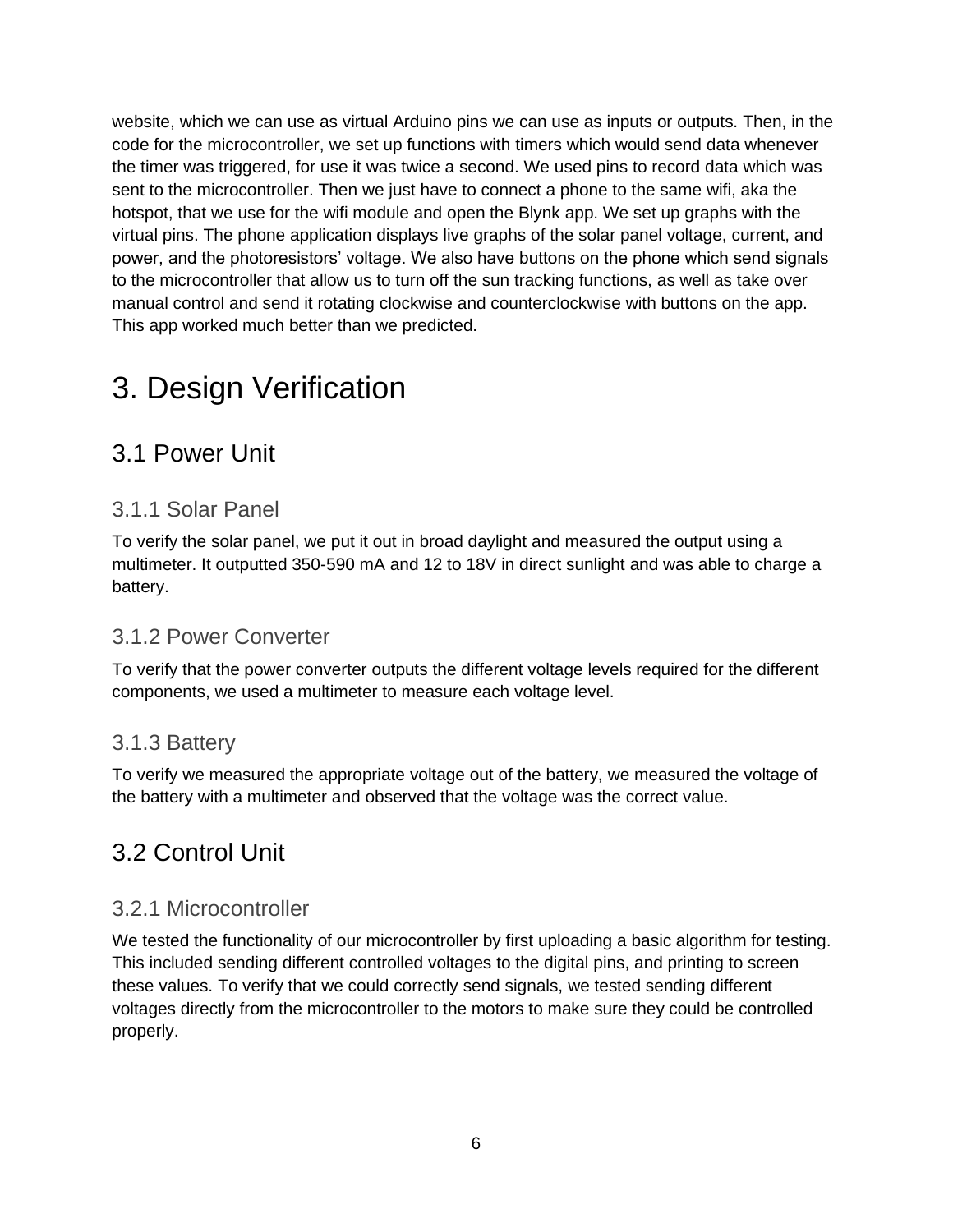website, which we can use as virtual Arduino pins we can use as inputs or outputs. Then, in the code for the microcontroller, we set up functions with timers which would send data whenever the timer was triggered, for use it was twice a second. We used pins to record data which was sent to the microcontroller. Then we just have to connect a phone to the same wifi, aka the hotspot, that we use for the wifi module and open the Blynk app. We set up graphs with the virtual pins. The phone application displays live graphs of the solar panel voltage, current, and power, and the photoresistors' voltage. We also have buttons on the phone which send signals to the microcontroller that allow us to turn off the sun tracking functions, as well as take over manual control and send it rotating clockwise and counterclockwise with buttons on the app. This app worked much better than we predicted.

# <span id="page-9-0"></span>3. Design Verification

## <span id="page-9-1"></span>3.1 Power Unit

#### <span id="page-9-2"></span>3.1.1 Solar Panel

To verify the solar panel, we put it out in broad daylight and measured the output using a multimeter. It outputted 350-590 mA and 12 to 18V in direct sunlight and was able to charge a battery.

#### <span id="page-9-3"></span>3.1.2 Power Converter

To verify that the power converter outputs the different voltage levels required for the different components, we used a multimeter to measure each voltage level.

#### <span id="page-9-4"></span>3.1.3 Battery

To verify we measured the appropriate voltage out of the battery, we measured the voltage of the battery with a multimeter and observed that the voltage was the correct value.

## <span id="page-9-5"></span>3.2 Control Unit

#### <span id="page-9-6"></span>3.2.1 Microcontroller

We tested the functionality of our microcontroller by first uploading a basic algorithm for testing. This included sending different controlled voltages to the digital pins, and printing to screen these values. To verify that we could correctly send signals, we tested sending different voltages directly from the microcontroller to the motors to make sure they could be controlled properly.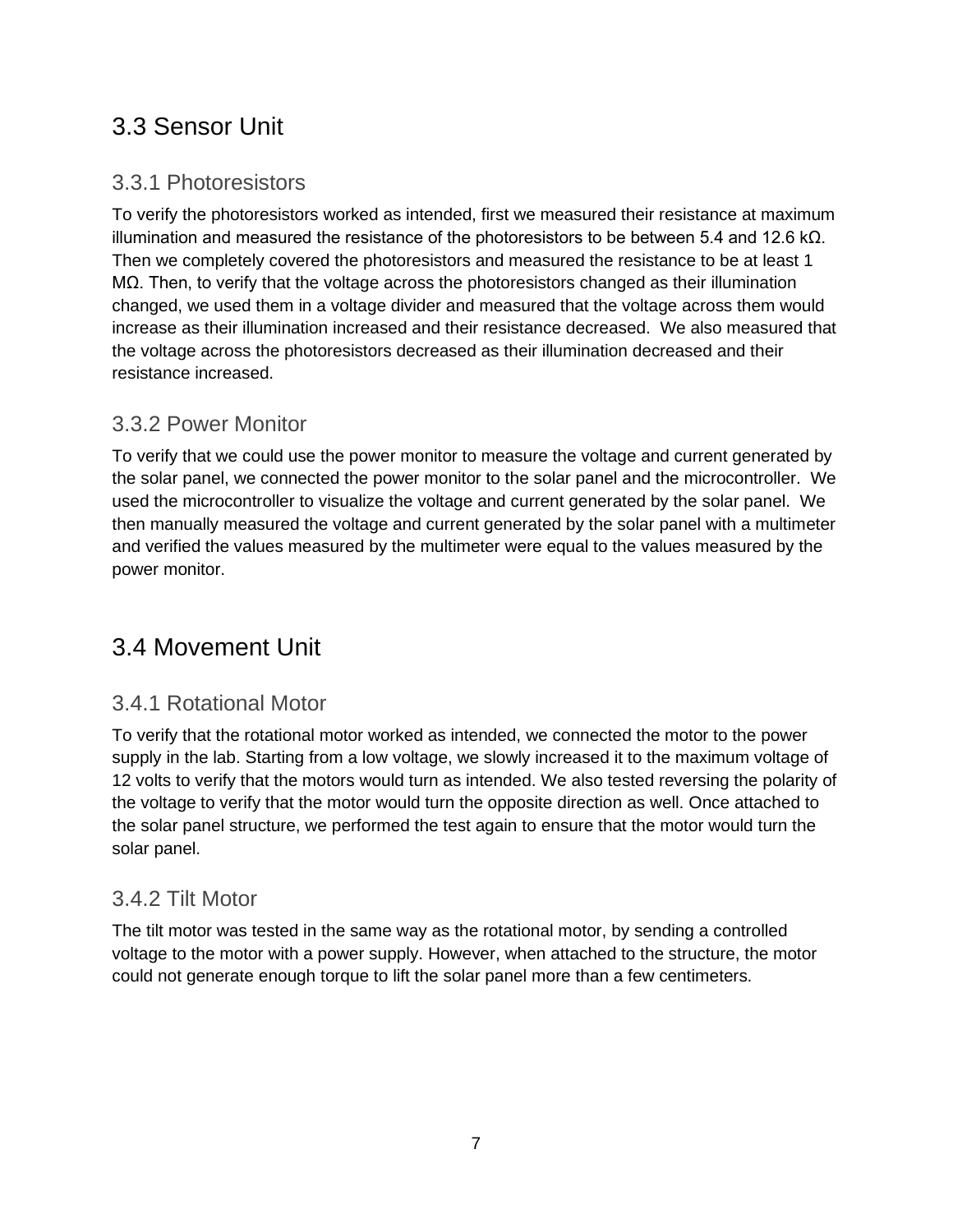## <span id="page-10-0"></span>3.3 Sensor Unit

#### <span id="page-10-1"></span>3.3.1 Photoresistors

To verify the photoresistors worked as intended, first we measured their resistance at maximum illumination and measured the resistance of the photoresistors to be between 5.4 and 12.6 kΩ. Then we completely covered the photoresistors and measured the resistance to be at least 1 MΩ. Then, to verify that the voltage across the photoresistors changed as their illumination changed, we used them in a voltage divider and measured that the voltage across them would increase as their illumination increased and their resistance decreased. We also measured that the voltage across the photoresistors decreased as their illumination decreased and their resistance increased.

#### 3.3.2 Power Monitor

To verify that we could use the power monitor to measure the voltage and current generated by the solar panel, we connected the power monitor to the solar panel and the microcontroller. We used the microcontroller to visualize the voltage and current generated by the solar panel. We then manually measured the voltage and current generated by the solar panel with a multimeter and verified the values measured by the multimeter were equal to the values measured by the power monitor.

## <span id="page-10-2"></span>3.4 Movement Unit

#### <span id="page-10-3"></span>3.4.1 Rotational Motor

To verify that the rotational motor worked as intended, we connected the motor to the power supply in the lab. Starting from a low voltage, we slowly increased it to the maximum voltage of 12 volts to verify that the motors would turn as intended. We also tested reversing the polarity of the voltage to verify that the motor would turn the opposite direction as well. Once attached to the solar panel structure, we performed the test again to ensure that the motor would turn the solar panel.

#### <span id="page-10-4"></span>3.4.2 Tilt Motor

The tilt motor was tested in the same way as the rotational motor, by sending a controlled voltage to the motor with a power supply. However, when attached to the structure, the motor could not generate enough torque to lift the solar panel more than a few centimeters.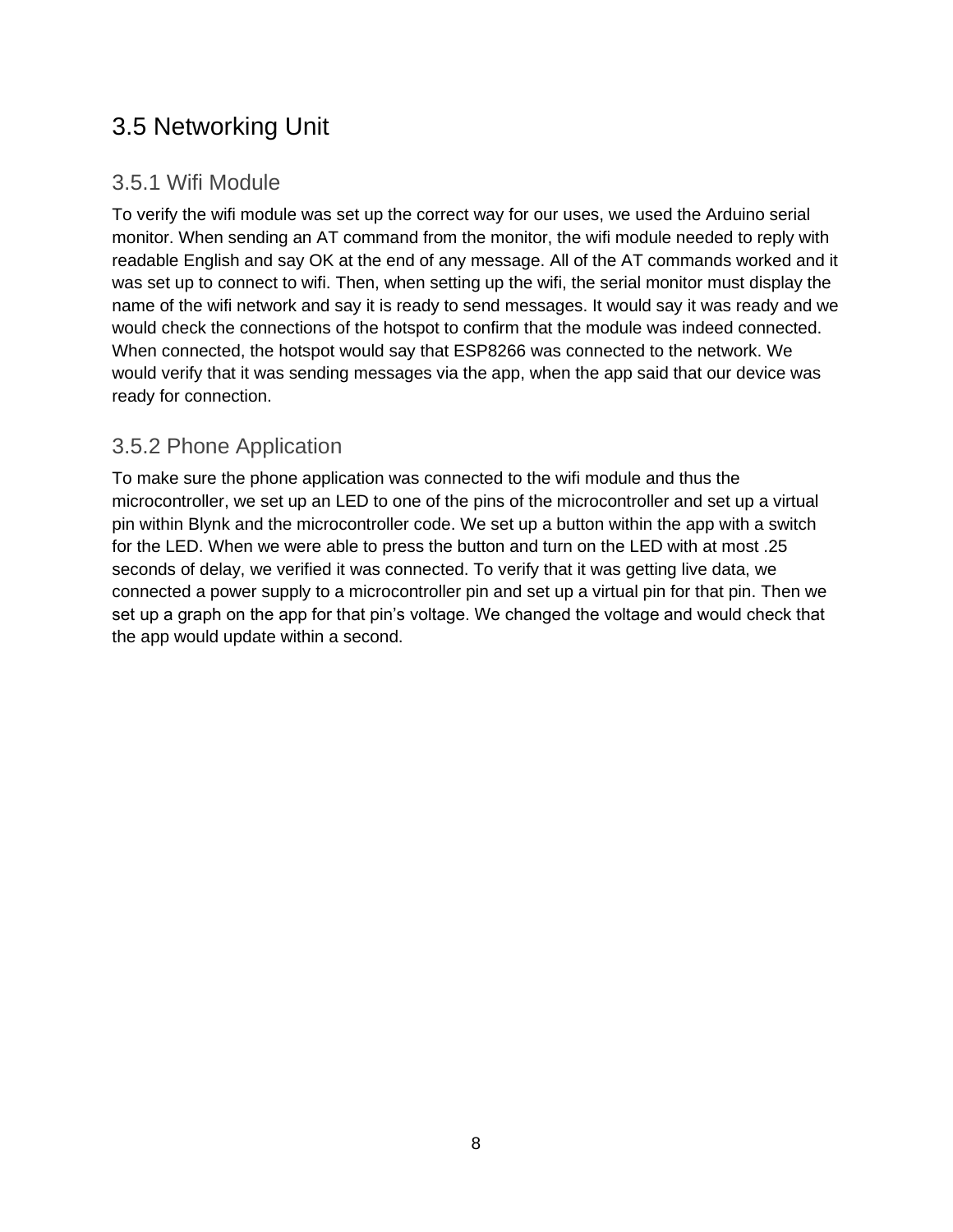## <span id="page-11-0"></span>3.5 Networking Unit

#### <span id="page-11-1"></span>3.5.1 Wifi Module

To verify the wifi module was set up the correct way for our uses, we used the Arduino serial monitor. When sending an AT command from the monitor, the wifi module needed to reply with readable English and say OK at the end of any message. All of the AT commands worked and it was set up to connect to wifi. Then, when setting up the wifi, the serial monitor must display the name of the wifi network and say it is ready to send messages. It would say it was ready and we would check the connections of the hotspot to confirm that the module was indeed connected. When connected, the hotspot would say that ESP8266 was connected to the network. We would verify that it was sending messages via the app, when the app said that our device was ready for connection.

#### <span id="page-11-2"></span>3.5.2 Phone Application

<span id="page-11-3"></span>To make sure the phone application was connected to the wifi module and thus the microcontroller, we set up an LED to one of the pins of the microcontroller and set up a virtual pin within Blynk and the microcontroller code. We set up a button within the app with a switch for the LED. When we were able to press the button and turn on the LED with at most .25 seconds of delay, we verified it was connected. To verify that it was getting live data, we connected a power supply to a microcontroller pin and set up a virtual pin for that pin. Then we set up a graph on the app for that pin's voltage. We changed the voltage and would check that the app would update within a second.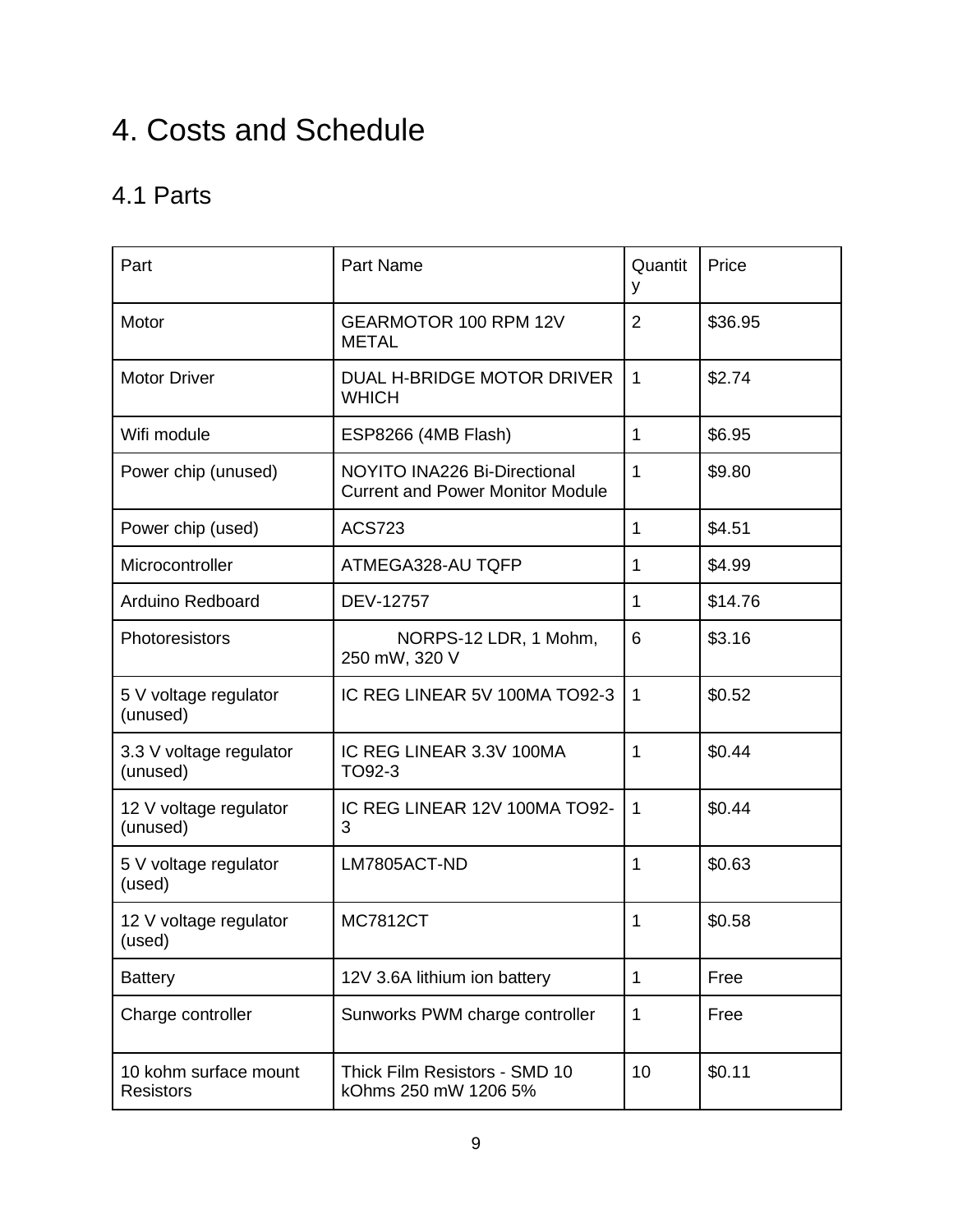# 4. Costs and Schedule

## 4.1 Parts

| Part                                      | <b>Part Name</b>                                                        | Quantit<br>y   | Price   |
|-------------------------------------------|-------------------------------------------------------------------------|----------------|---------|
| Motor                                     | GEARMOTOR 100 RPM 12V<br><b>METAL</b>                                   | $\overline{2}$ | \$36.95 |
| <b>Motor Driver</b>                       | DUAL H-BRIDGE MOTOR DRIVER<br><b>WHICH</b>                              | $\mathbf{1}$   | \$2.74  |
| Wifi module                               | ESP8266 (4MB Flash)                                                     | $\mathbf{1}$   | \$6.95  |
| Power chip (unused)                       | NOYITO INA226 Bi-Directional<br><b>Current and Power Monitor Module</b> | $\mathbf{1}$   | \$9.80  |
| Power chip (used)                         | <b>ACS723</b>                                                           | $\mathbf{1}$   | \$4.51  |
| Microcontroller                           | ATMEGA328-AU TQFP                                                       | 1              | \$4.99  |
| <b>Arduino Redboard</b>                   | DEV-12757                                                               | $\mathbf{1}$   | \$14.76 |
| Photoresistors                            | NORPS-12 LDR, 1 Mohm,<br>250 mW, 320 V                                  | 6              | \$3.16  |
| 5 V voltage regulator<br>(unused)         | IC REG LINEAR 5V 100MA TO92-3                                           | $\overline{1}$ | \$0.52  |
| 3.3 V voltage regulator<br>(unused)       | IC REG LINEAR 3.3V 100MA<br>TO92-3                                      | 1              | \$0.44  |
| 12 V voltage regulator<br>(unused)        | IC REG LINEAR 12V 100MA TO92-<br>3                                      | $\mathbf{1}$   | \$0.44  |
| 5 V voltage regulator<br>(used)           | LM7805ACT-ND                                                            | 1              | \$0.63  |
| 12 V voltage regulator<br>(used)          | <b>MC7812CT</b>                                                         | 1              | \$0.58  |
| <b>Battery</b>                            | 12V 3.6A lithium ion battery                                            | $\mathbf{1}$   | Free    |
| Charge controller                         | Sunworks PWM charge controller                                          | 1              | Free    |
| 10 kohm surface mount<br><b>Resistors</b> | Thick Film Resistors - SMD 10<br>kOhms 250 mW 1206 5%                   | 10             | \$0.11  |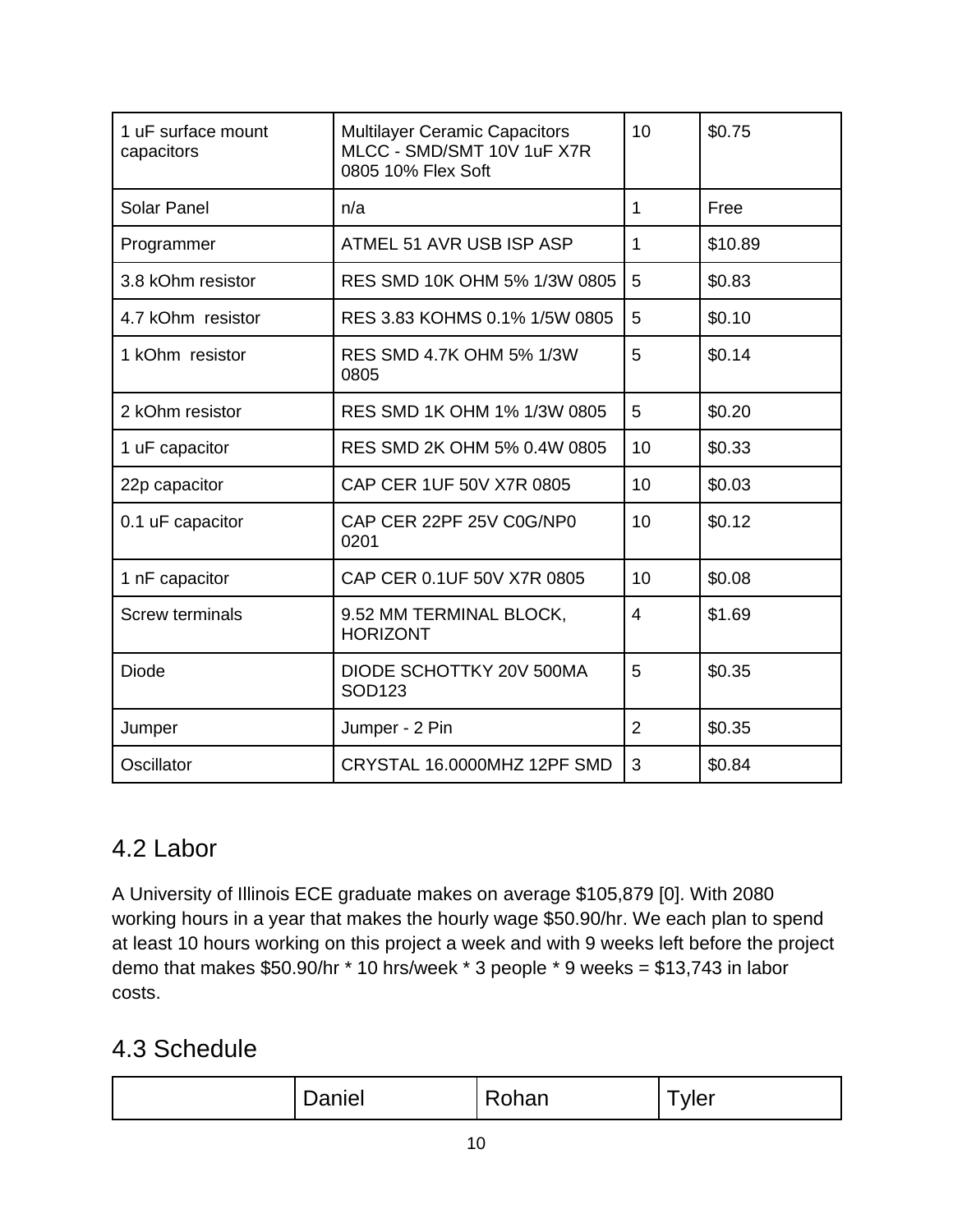| 1 uF surface mount<br>capacitors | <b>Multilayer Ceramic Capacitors</b><br>MLCC - SMD/SMT 10V 1uF X7R<br>0805 10% Flex Soft | 10 | \$0.75  |
|----------------------------------|------------------------------------------------------------------------------------------|----|---------|
| <b>Solar Panel</b>               | n/a                                                                                      | 1  | Free    |
| Programmer                       | ATMEL 51 AVR USB ISP ASP                                                                 | 1  | \$10.89 |
| 3.8 kOhm resistor                | RES SMD 10K OHM 5% 1/3W 0805                                                             | 5  | \$0.83  |
| 4.7 kOhm resistor                | RES 3.83 KOHMS 0.1% 1/5W 0805                                                            | 5  | \$0.10  |
| 1 kOhm resistor                  | RES SMD 4.7K OHM 5% 1/3W<br>0805                                                         | 5  | \$0.14  |
| 2 kOhm resistor                  | RES SMD 1K OHM 1% 1/3W 0805                                                              | 5  | \$0.20  |
| 1 uF capacitor                   | RES SMD 2K OHM 5% 0.4W 0805                                                              | 10 | \$0.33  |
| 22p capacitor                    | CAP CER 1UF 50V X7R 0805                                                                 | 10 | \$0.03  |
| 0.1 uF capacitor                 | CAP CER 22PF 25V C0G/NP0<br>0201                                                         | 10 | \$0.12  |
| 1 nF capacitor                   | CAP CER 0.1UF 50V X7R 0805                                                               | 10 | \$0.08  |
| <b>Screw terminals</b>           | 9.52 MM TERMINAL BLOCK,<br><b>HORIZONT</b>                                               | 4  | \$1.69  |
| Diode                            | DIODE SCHOTTKY 20V 500MA<br>SOD123                                                       | 5  | \$0.35  |
| Jumper                           | Jumper - 2 Pin                                                                           | 2  | \$0.35  |
| Oscillator                       | CRYSTAL 16.0000MHZ 12PF SMD                                                              | 3  | \$0.84  |

## 4.2 Labor

A University of Illinois ECE graduate makes on average \$105,879 [0]. With 2080 working hours in a year that makes the hourly wage \$50.90/hr. We each plan to spend at least 10 hours working on this project a week and with 9 weeks left before the project demo that makes \$50.90/hr \* 10 hrs/week \* 3 people \* 9 weeks = \$13,743 in labor costs.

## 4.3 Schedule

| ______<br>_____ |  |
|-----------------|--|
|-----------------|--|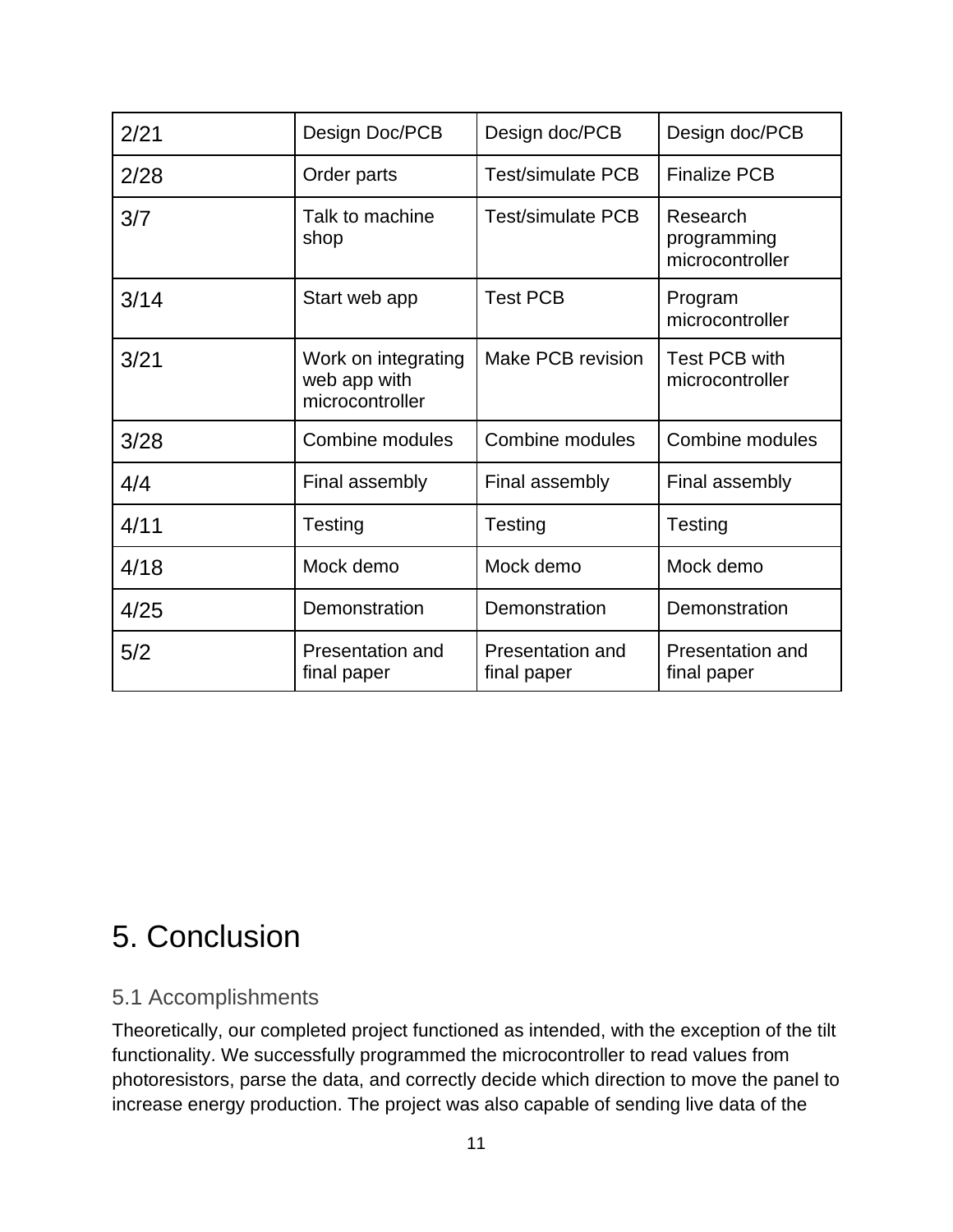| 2/21 | Design Doc/PCB                                         | Design doc/PCB                         | Design doc/PCB                             |
|------|--------------------------------------------------------|----------------------------------------|--------------------------------------------|
| 2/28 | Order parts                                            | <b>Test/simulate PCB</b>               | <b>Finalize PCB</b>                        |
| 3/7  | Talk to machine<br>shop                                | <b>Test/simulate PCB</b>               | Research<br>programming<br>microcontroller |
| 3/14 | Start web app                                          | <b>Test PCB</b>                        | Program<br>microcontroller                 |
| 3/21 | Work on integrating<br>web app with<br>microcontroller | Make PCB revision                      | <b>Test PCB with</b><br>microcontroller    |
| 3/28 | Combine modules                                        | <b>Combine modules</b>                 | Combine modules                            |
| 4/4  | Final assembly                                         | Final assembly                         | Final assembly                             |
| 4/11 | Testing                                                | Testing                                | Testing                                    |
| 4/18 | Mock demo                                              | Mock demo                              | Mock demo                                  |
| 4/25 | Demonstration                                          | Demonstration                          | Demonstration                              |
| 5/2  | Presentation and<br>final paper                        | <b>Presentation and</b><br>final paper | <b>Presentation and</b><br>final paper     |

# 5. Conclusion

#### 5.1 Accomplishments

Theoretically, our completed project functioned as intended, with the exception of the tilt functionality. We successfully programmed the microcontroller to read values from photoresistors, parse the data, and correctly decide which direction to move the panel to increase energy production. The project was also capable of sending live data of the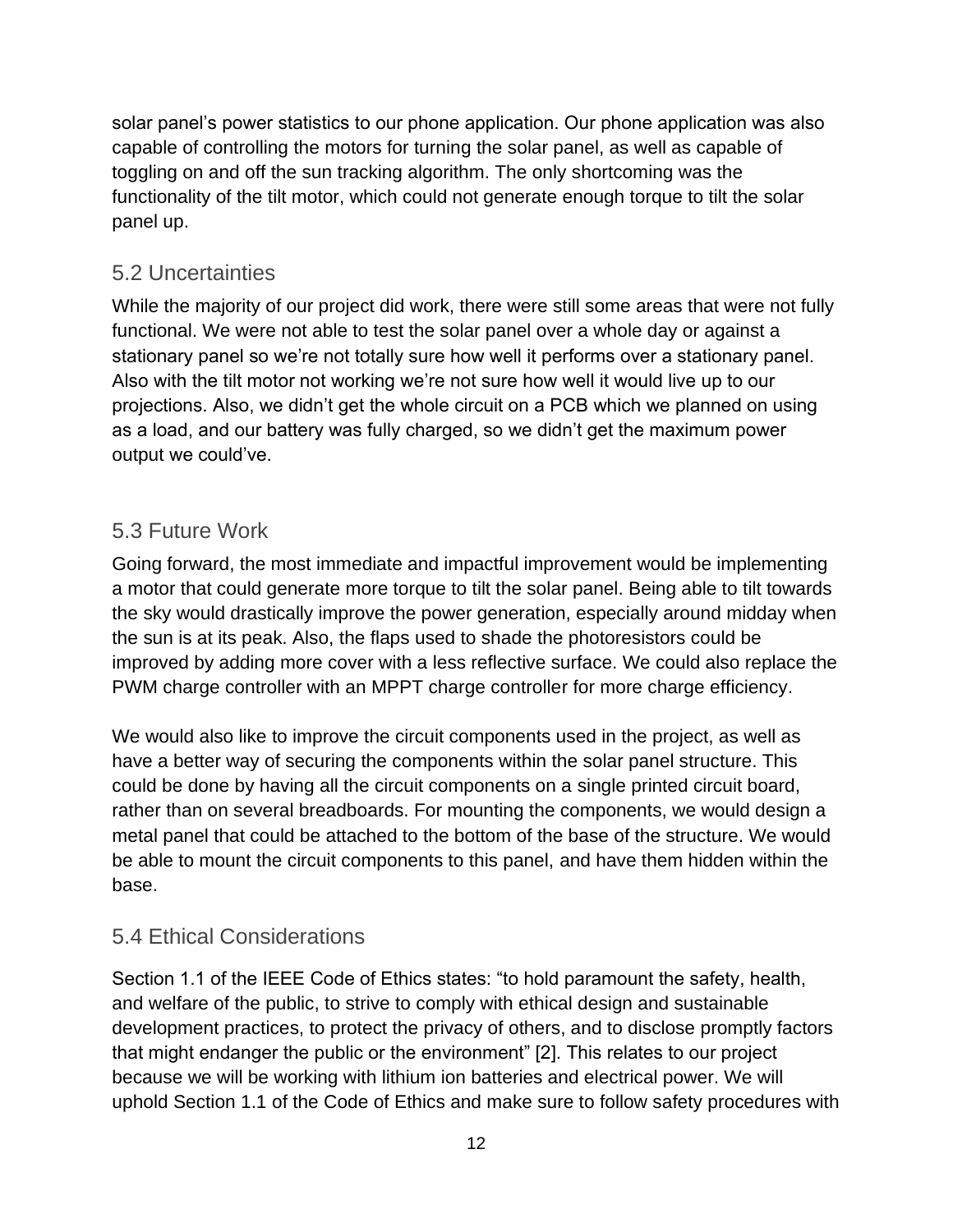solar panel's power statistics to our phone application. Our phone application was also capable of controlling the motors for turning the solar panel, as well as capable of toggling on and off the sun tracking algorithm. The only shortcoming was the functionality of the tilt motor, which could not generate enough torque to tilt the solar panel up.

#### 5.2 Uncertainties

While the majority of our project did work, there were still some areas that were not fully functional. We were not able to test the solar panel over a whole day or against a stationary panel so we're not totally sure how well it performs over a stationary panel. Also with the tilt motor not working we're not sure how well it would live up to our projections. Also, we didn't get the whole circuit on a PCB which we planned on using as a load, and our battery was fully charged, so we didn't get the maximum power output we could've.

#### 5.3 Future Work

Going forward, the most immediate and impactful improvement would be implementing a motor that could generate more torque to tilt the solar panel. Being able to tilt towards the sky would drastically improve the power generation, especially around midday when the sun is at its peak. Also, the flaps used to shade the photoresistors could be improved by adding more cover with a less reflective surface. We could also replace the PWM charge controller with an MPPT charge controller for more charge efficiency.

We would also like to improve the circuit components used in the project, as well as have a better way of securing the components within the solar panel structure. This could be done by having all the circuit components on a single printed circuit board, rather than on several breadboards. For mounting the components, we would design a metal panel that could be attached to the bottom of the base of the structure. We would be able to mount the circuit components to this panel, and have them hidden within the base.

#### 5.4 Ethical Considerations

Section 1.1 of the IEEE Code of Ethics states: "to hold paramount the safety, health, and welfare of the public, to strive to comply with ethical design and sustainable development practices, to protect the privacy of others, and to disclose promptly factors that might endanger the public or the environment" [2]. This relates to our project because we will be working with lithium ion batteries and electrical power. We will uphold Section 1.1 of the Code of Ethics and make sure to follow safety procedures with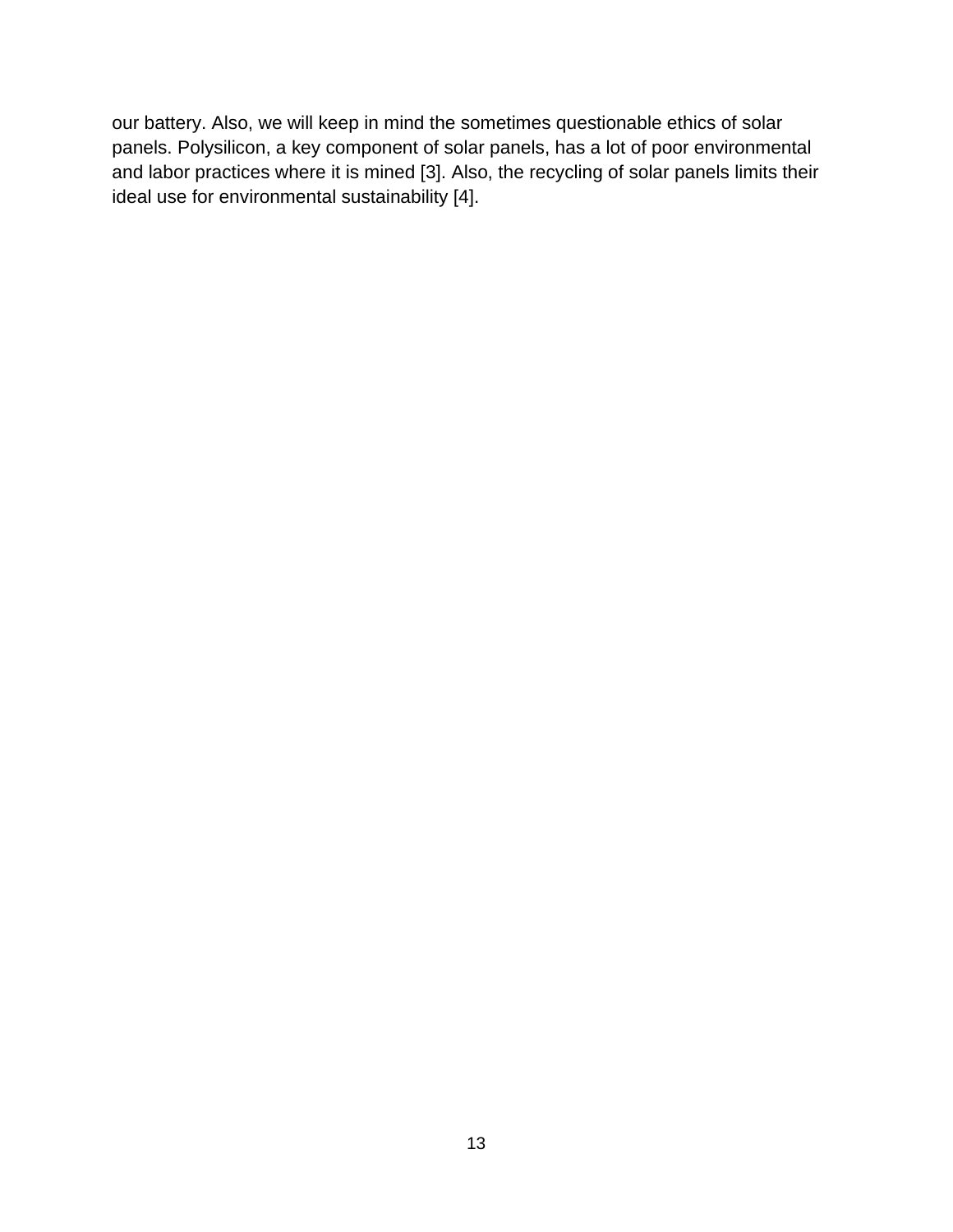<span id="page-16-0"></span>our battery. Also, we will keep in mind the sometimes questionable ethics of solar panels. Polysilicon, a key component of solar panels, has a lot of poor environmental and labor practices where it is mined [3]. Also, the recycling of solar panels limits their ideal use for environmental sustainability [4].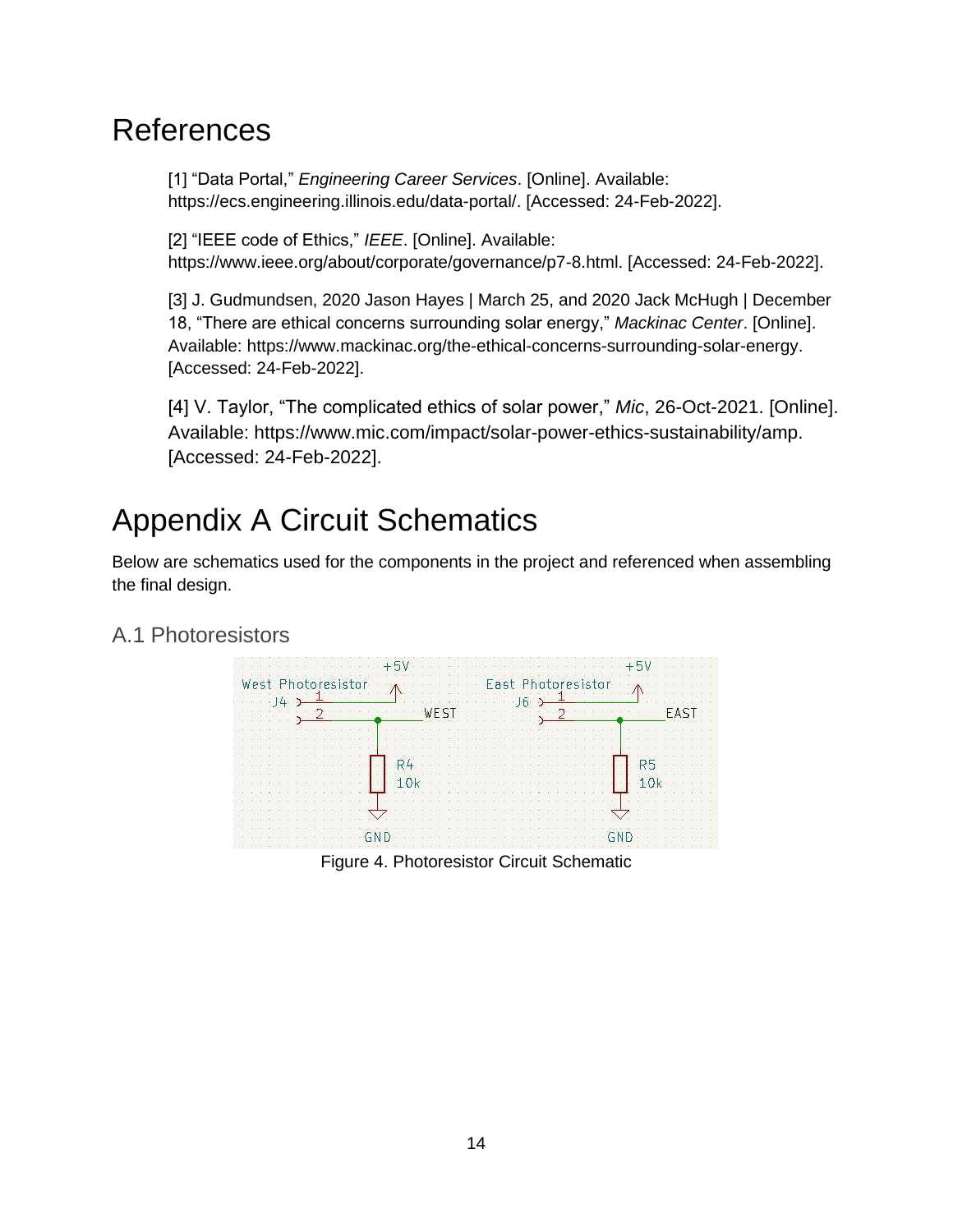# **References**

[1] "Data Portal," *Engineering Career Services*. [Online]. Available: https://ecs.engineering.illinois.edu/data-portal/. [Accessed: 24-Feb-2022].

[2] "IEEE code of Ethics," *IEEE*. [Online]. Available: https://www.ieee.org/about/corporate/governance/p7-8.html. [Accessed: 24-Feb-2022].

[3] J. Gudmundsen, 2020 Jason Hayes | March 25, and 2020 Jack McHugh | December 18, "There are ethical concerns surrounding solar energy," *Mackinac Center*. [Online]. Available: https://www.mackinac.org/the-ethical-concerns-surrounding-solar-energy. [Accessed: 24-Feb-2022].

[4] V. Taylor, "The complicated ethics of solar power," *Mic*, 26-Oct-2021. [Online]. Available: https://www.mic.com/impact/solar-power-ethics-sustainability/amp. [Accessed: 24-Feb-2022].

# <span id="page-17-0"></span>Appendix A Circuit Schematics

Below are schematics used for the components in the project and referenced when assembling the final design.

#### A.1 Photoresistors



Figure 4. Photoresistor Circuit Schematic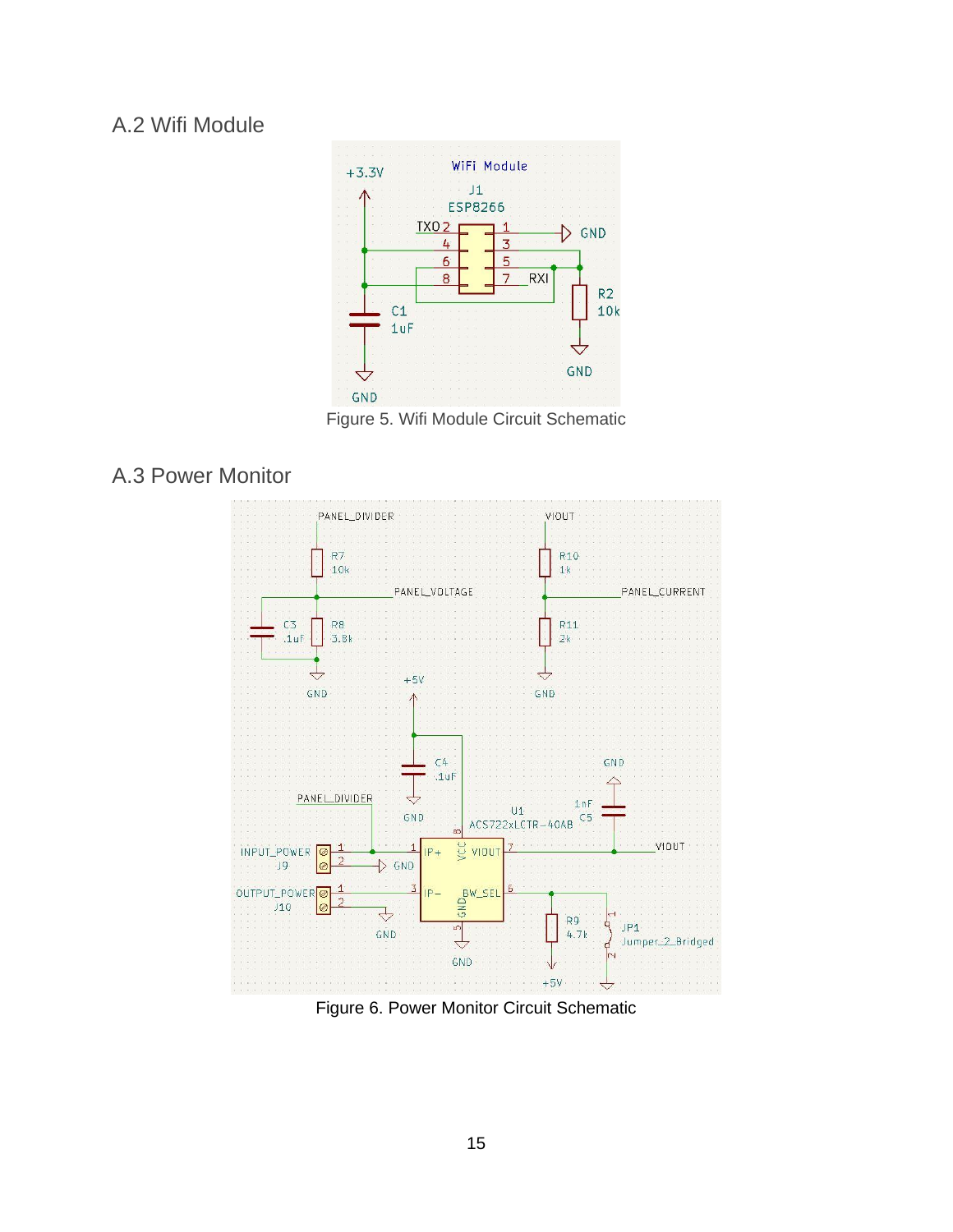#### A.2 Wifi Module



Figure 5. Wifi Module Circuit Schematic

#### A.3 Power Monitor



Figure 6. Power Monitor Circuit Schematic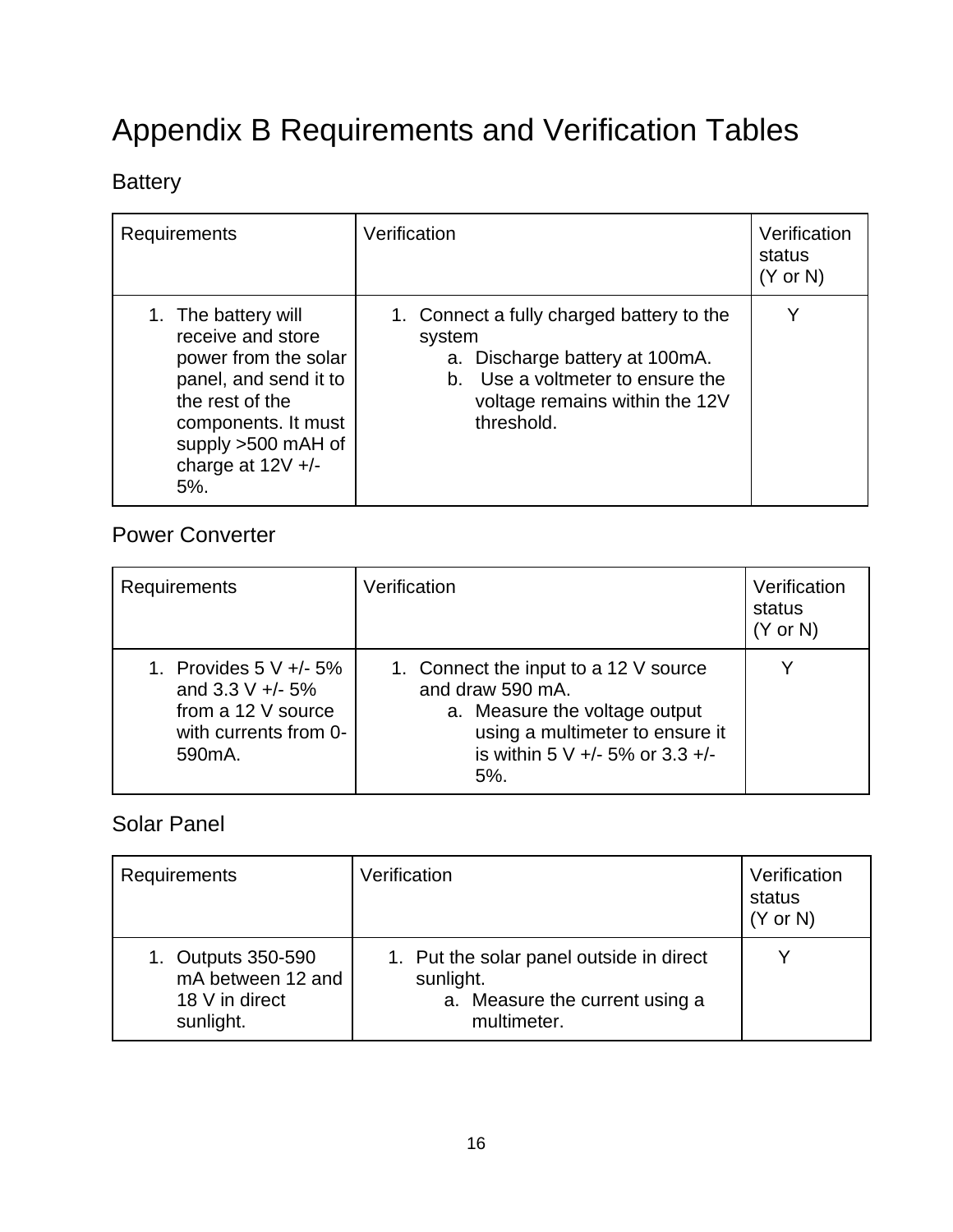# Appendix B Requirements and Verification Tables

## **Battery**

| Requirements                                                                                                                                                                               | Verification                                                                                                                                                              | Verification<br>status<br>$(Y \text{ or } N)$ |
|--------------------------------------------------------------------------------------------------------------------------------------------------------------------------------------------|---------------------------------------------------------------------------------------------------------------------------------------------------------------------------|-----------------------------------------------|
| 1. The battery will<br>receive and store<br>power from the solar<br>panel, and send it to<br>the rest of the<br>components. It must<br>supply >500 mAH of<br>charge at $12V +/-$<br>$5%$ . | 1. Connect a fully charged battery to the<br>system<br>a. Discharge battery at 100mA.<br>b. Use a voltmeter to ensure the<br>voltage remains within the 12V<br>threshold. |                                               |

### Power Converter

| <b>Requirements</b>                                                                                                       | Verification                                                                                                                                                               | Verification<br>status<br>$(Y \text{ or } N)$ |
|---------------------------------------------------------------------------------------------------------------------------|----------------------------------------------------------------------------------------------------------------------------------------------------------------------------|-----------------------------------------------|
| 1. Provides $5 \vee +/- 5\%$<br>and 3.3 V $+/- 5\%$<br>from a 12 V source<br>with currents from 0-<br>590 <sub>m</sub> A. | 1. Connect the input to a 12 V source<br>and draw 590 mA.<br>a. Measure the voltage output<br>using a multimeter to ensure it<br>is within 5 V +/- 5% or 3.3 +/-<br>$5%$ . |                                               |

#### Solar Panel

| Requirements                                                           | Verification                                                                                           | Verification<br>status<br>$(Y \text{ or } N)$ |
|------------------------------------------------------------------------|--------------------------------------------------------------------------------------------------------|-----------------------------------------------|
| 1. Outputs 350-590<br>mA between 12 and<br>18 V in direct<br>sunlight. | 1. Put the solar panel outside in direct<br>sunlight.<br>a. Measure the current using a<br>multimeter. |                                               |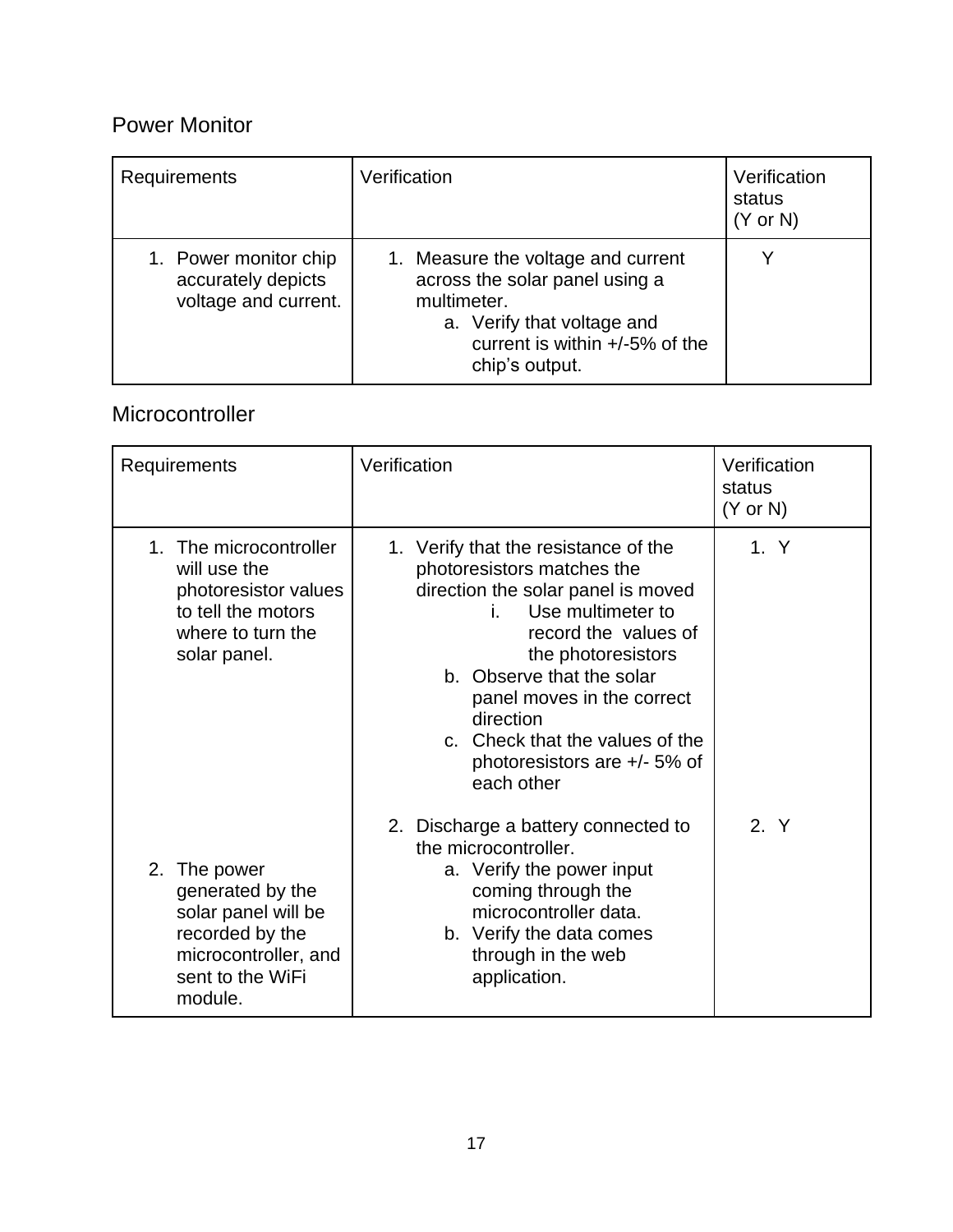### Power Monitor

| Requirements                                                        | Verification                                                                                                                                                             | Verification<br>status<br>$(Y \text{ or } N)$ |
|---------------------------------------------------------------------|--------------------------------------------------------------------------------------------------------------------------------------------------------------------------|-----------------------------------------------|
| 1. Power monitor chip<br>accurately depicts<br>voltage and current. | 1. Measure the voltage and current<br>across the solar panel using a<br>multimeter.<br>a. Verify that voltage and<br>current is within $+/-5\%$ of the<br>chip's output. |                                               |

### Microcontroller

| Requirements                                                                                                                         | Verification                                                                                                                                                                                                                                                                                                                               | Verification<br>status<br>$(Y \text{ or } N)$ |
|--------------------------------------------------------------------------------------------------------------------------------------|--------------------------------------------------------------------------------------------------------------------------------------------------------------------------------------------------------------------------------------------------------------------------------------------------------------------------------------------|-----------------------------------------------|
| 1. The microcontroller<br>will use the<br>photoresistor values<br>to tell the motors<br>where to turn the<br>solar panel.            | 1. Verify that the resistance of the<br>photoresistors matches the<br>direction the solar panel is moved<br>Use multimeter to<br>i.<br>record the values of<br>the photoresistors<br>b. Observe that the solar<br>panel moves in the correct<br>direction<br>c. Check that the values of the<br>photoresistors are +/- 5% of<br>each other | 1. Y                                          |
| 2.<br>The power<br>generated by the<br>solar panel will be<br>recorded by the<br>microcontroller, and<br>sent to the WiFi<br>module. | 2. Discharge a battery connected to<br>the microcontroller.<br>a. Verify the power input<br>coming through the<br>microcontroller data.<br>b. Verify the data comes<br>through in the web<br>application.                                                                                                                                  | 2. Y                                          |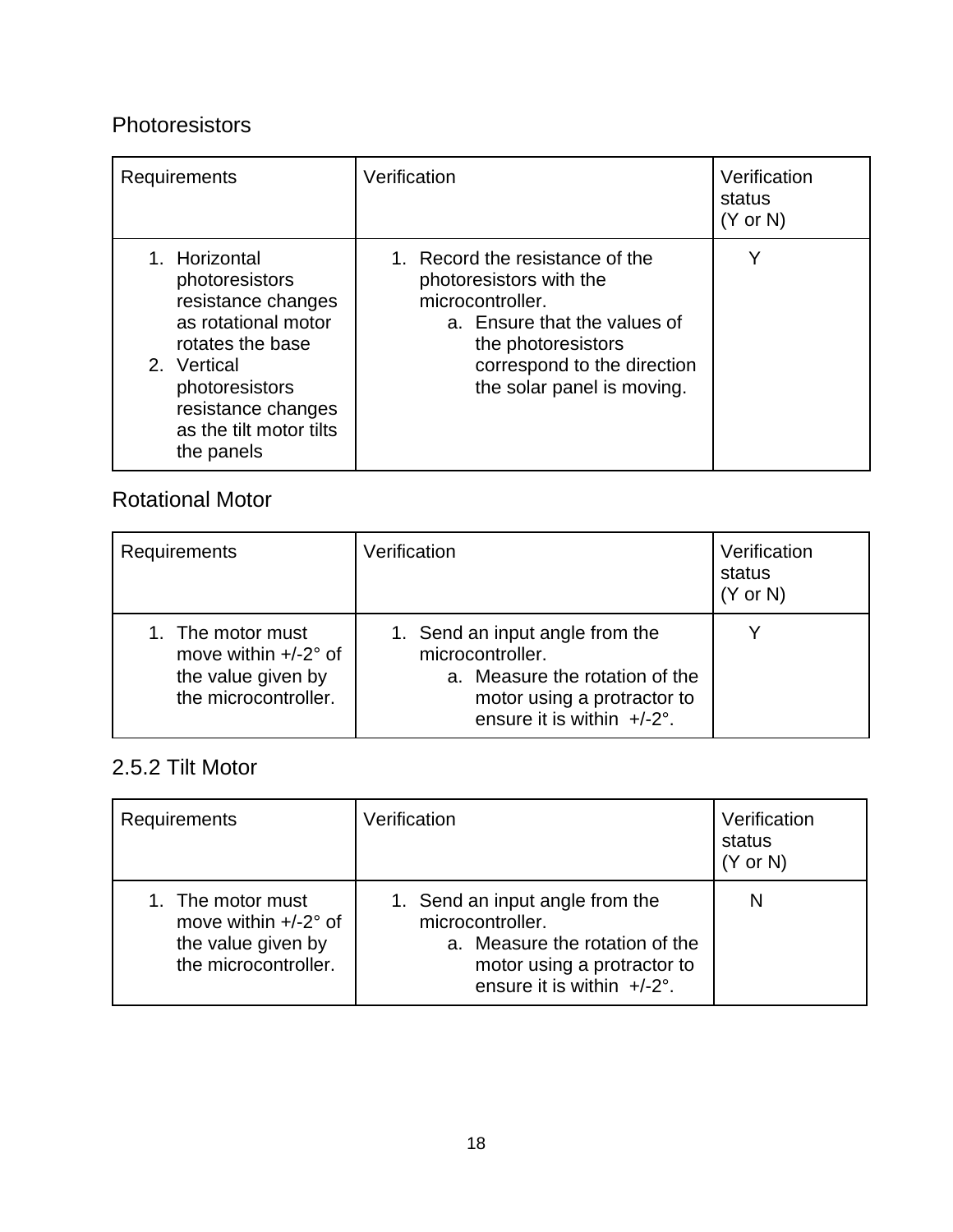### Photoresistors

| Requirements                                                                                                                                                                                     | Verification                                                                                                                                                                                      | Verification<br>status<br>$(Y \text{ or } N)$ |
|--------------------------------------------------------------------------------------------------------------------------------------------------------------------------------------------------|---------------------------------------------------------------------------------------------------------------------------------------------------------------------------------------------------|-----------------------------------------------|
| 1. Horizontal<br>photoresistors<br>resistance changes<br>as rotational motor<br>rotates the base<br>2. Vertical<br>photoresistors<br>resistance changes<br>as the tilt motor tilts<br>the panels | 1. Record the resistance of the<br>photoresistors with the<br>microcontroller.<br>a. Ensure that the values of<br>the photoresistors<br>correspond to the direction<br>the solar panel is moving. |                                               |

### Rotational Motor

| Requirements                                                                                     | Verification                                                                                                                                          | Verification<br>status<br>$(Y \text{ or } N)$ |
|--------------------------------------------------------------------------------------------------|-------------------------------------------------------------------------------------------------------------------------------------------------------|-----------------------------------------------|
| 1. The motor must<br>move within $+/-2^{\circ}$ of<br>the value given by<br>the microcontroller. | 1. Send an input angle from the<br>microcontroller.<br>a. Measure the rotation of the<br>motor using a protractor to<br>ensure it is within $+/-2$ °. |                                               |

## 2.5.2 Tilt Motor

| Requirements                                                                                     | Verification                                                                                                                                                 | Verification<br>status<br>$(Y \text{ or } N)$ |
|--------------------------------------------------------------------------------------------------|--------------------------------------------------------------------------------------------------------------------------------------------------------------|-----------------------------------------------|
| 1. The motor must<br>move within $+/-2^{\circ}$ of<br>the value given by<br>the microcontroller. | 1. Send an input angle from the<br>microcontroller.<br>a. Measure the rotation of the<br>motor using a protractor to<br>ensure it is within $+/-2^{\circ}$ . | N                                             |